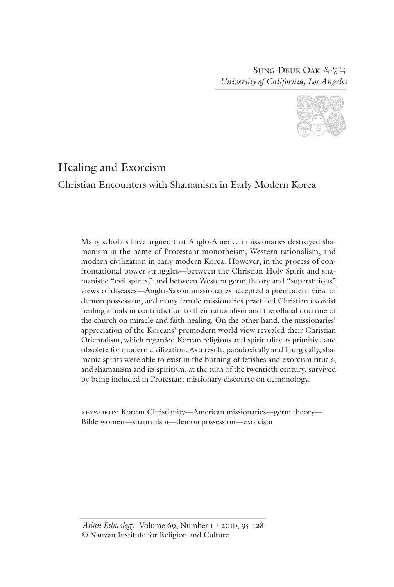# Sung-Deuk Oak 옥성득 *University of California, Los Angeles*



# Healing and Exorcism

# Christian Encounters with Shamanism in Early Modern Korea

Many scholars have argued that Anglo-American missionaries destroyed shamanism in the name of Protestant monotheism, Western rationalism, and modern civilization in early modern Korea. However, in the process of confrontational power struggles—between the Christian Holy Spirit and shamanistic "evil spirits," and between Western germ theory and "superstitious" views of diseases—Anglo-Saxon missionaries accepted a premodern view of demon possession, and many female missionaries practiced Christian exorcist healing rituals in contradiction to their rationalism and the official doctrine of the church on miracle and faith healing. On the other hand, the missionaries' appreciation of the Koreans' premodern world view revealed their Christian Orientalism, which regarded Korean religions and spirituality as primitive and obsolete for modern civilization. As a result, paradoxically and liturgically, shamanic spirits were able to exist in the burning of fetishes and exorcism rituals, and shamanism and its spiritism, at the turn of the twentieth century, survived by being included in Protestant missionary discourse on demonology.

keywords: Korean Christianity—American missionaries—germ theory— Bible women—shamanism—demon possession—exorcism

*Asian Ethnology* Volume 69, Number 1 • 2010, 95–128 © Nanzan Institute for Religion and Culture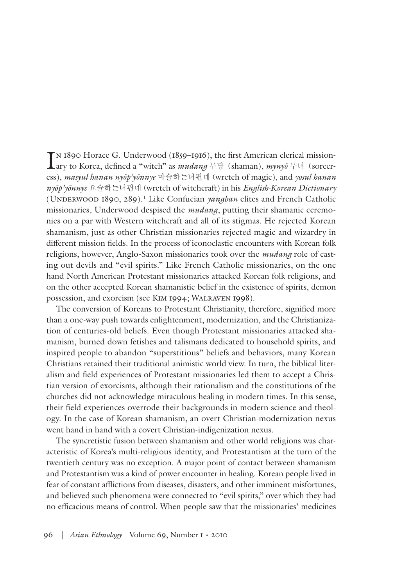I ary to Korea, defined a "witch" as *mudang* 무당 (shaman), *mynyŏ* 무녀 (sorcer-IN 1890 Horace G. Underwood (1859–1916), the first American clerical missioness), *masyul hanan nyŏp'yŏnnye* 마슐하는녀편녜 (wretch of magic), and *yosul hanan nyŏp'yŏnnye* 요슐하는녀편녜 (wretch of witchcraft) in his *English-Korean Dictionary* (Underwood 1890, 289).1 Like Confucian *yangban* elites and French Catholic missionaries, Underwood despised the *mudang*, putting their shamanic ceremonies on a par with Western witchcraft and all of its stigmas. He rejected Korean shamanism, just as other Christian missionaries rejected magic and wizardry in different mission fields. In the process of iconoclastic encounters with Korean folk religions, however, Anglo-Saxon missionaries took over the *mudang* role of casting out devils and "evil spirits." Like French Catholic missionaries, on the one hand North American Protestant missionaries attacked Korean folk religions, and on the other accepted Korean shamanistic belief in the existence of spirits, demon possession, and exorcism (see Kim 1994; Walraven 1998).

The conversion of Koreans to Protestant Christianity, therefore, signified more than a one-way push towards enlightenment, modernization, and the Christianization of centuries-old beliefs. Even though Protestant missionaries attacked shamanism, burned down fetishes and talismans dedicated to household spirits, and inspired people to abandon "superstitious" beliefs and behaviors, many Korean Christians retained their traditional animistic world view. In turn, the biblical literalism and field experiences of Protestant missionaries led them to accept a Christian version of exorcisms, although their rationalism and the constitutions of the churches did not acknowledge miraculous healing in modern times. In this sense, their field experiences overrode their backgrounds in modern science and theology. In the case of Korean shamanism, an overt Christian-modernization nexus went hand in hand with a covert Christian-indigenization nexus.

The syncretistic fusion between shamanism and other world religions was characteristic of Korea's multi-religious identity, and Protestantism at the turn of the twentieth century was no exception. A major point of contact between shamanism and Protestantism was a kind of power encounter in healing. Korean people lived in fear of constant afflictions from diseases, disasters, and other imminent misfortunes, and believed such phenomena were connected to "evil spirits," over which they had no efficacious means of control. When people saw that the missionaries' medicines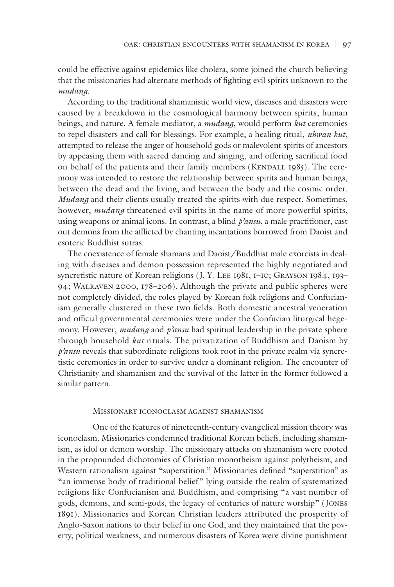could be effective against epidemics like cholera, some joined the church believing that the missionaries had alternate methods of fighting evil spirits unknown to the *mudang*.

According to the traditional shamanistic world view, diseases and disasters were caused by a breakdown in the cosmological harmony between spirits, human beings, and nature. A female mediator, a *mudang*, would perform *kut* ceremonies to repel disasters and call for blessings. For example, a healing ritual, *uhwan kut*, attempted to release the anger of household gods or malevolent spirits of ancestors by appeasing them with sacred dancing and singing, and offering sacrificial food on behalf of the patients and their family members (KENDALL 1985). The ceremony was intended to restore the relationship between spirits and human beings, between the dead and the living, and between the body and the cosmic order. *Mudang* and their clients usually treated the spirits with due respect. Sometimes, however, *mudang* threatened evil spirits in the name of more powerful spirits, using weapons or animal icons. In contrast, a blind *p'ansu*, a male practitioner, cast out demons from the afflicted by chanting incantations borrowed from Daoist and esoteric Buddhist sutras.

The coexistence of female shamans and Daoist/Buddhist male exorcists in dealing with diseases and demon possession represented the highly negotiated and syncretistic nature of Korean religions (J. Y. LEE 1981, I-IO; GRAYSON 1984, 193-94; Walraven 2000, 178–206). Although the private and public spheres were not completely divided, the roles played by Korean folk religions and Confucianism generally clustered in these two fields. Both domestic ancestral veneration and official governmental ceremonies were under the Confucian liturgical hegemony. However, *mudang* and *p'ansu* had spiritual leadership in the private sphere through household *kut* rituals. The privatization of Buddhism and Daoism by *p'ansu* reveals that subordinate religions took root in the private realm via syncretistic ceremonies in order to survive under a dominant religion. The encounter of Christianity and shamanism and the survival of the latter in the former followed a similar pattern.

#### Missionary iconoclasm against shamanism

One of the features of nineteenth-century evangelical mission theory was iconoclasm. Missionaries condemned traditional Korean beliefs, including shamanism, as idol or demon worship. The missionary attacks on shamanism were rooted in the propounded dichotomies of Christian monotheism against polytheism, and Western rationalism against "superstition." Missionaries defined "superstition" as "an immense body of traditional belief" lying outside the realm of systematized religions like Confucianism and Buddhism, and comprising "a vast number of gods, demons, and semi-gods, the legacy of centuries of nature worship" (Jones 1891). Missionaries and Korean Christian leaders attributed the prosperity of Anglo-Saxon nations to their belief in one God, and they maintained that the poverty, political weakness, and numerous disasters of Korea were divine punishment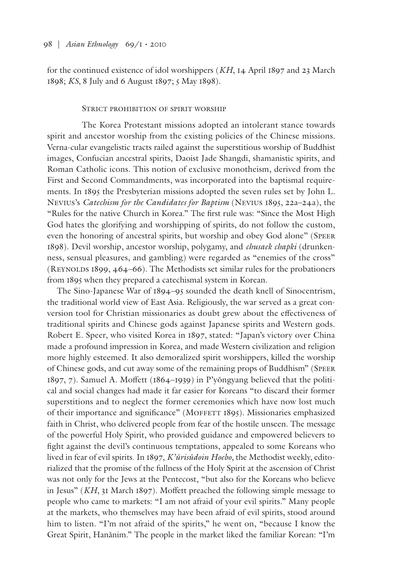for the continued existence of idol worshippers (*KH*, 14 April 1897 and 23 March 1898; *KS*, 8 July and 6 August 1897; 5 May 1898).

### STRICT PROHIBITION OF SPIRIT WORSHIP

The Korea Protestant missions adopted an intolerant stance towards spirit and ancestor worship from the existing policies of the Chinese missions. Verna-cular evangelistic tracts railed against the superstitious worship of Buddhist images, Confucian ancestral spirits, Daoist Jade Shangdi, shamanistic spirits, and Roman Catholic icons. This notion of exclusive monotheism, derived from the First and Second Commandments, was incorporated into the baptismal requirements. In 1895 the Presbyterian missions adopted the seven rules set by John L. Nevius's *Catechism for the Candidates for Baptism* (Nevius 1895, 22a–24a), the "Rules for the native Church in Korea." The first rule was: "Since the Most High God hates the glorifying and worshipping of spirits, do not follow the custom, even the honoring of ancestral spirits, but worship and obey God alone" (SPEER 1898). Devil worship, ancestor worship, polygamy, and *chusaek chapki* (drunkenness, sensual pleasures, and gambling) were regarded as "enemies of the cross" (Reynolds 1899, 464–66). The Methodists set similar rules for the probationers from 1895 when they prepared a catechismal system in Korean.

The Sino-Japanese War of 1894–95 sounded the death knell of Sinocentrism, the traditional world view of East Asia. Religiously, the war served as a great conversion tool for Christian missionaries as doubt grew about the effectiveness of traditional spirits and Chinese gods against Japanese spirits and Western gods. Robert E. Speer, who visited Korea in 1897, stated: "Japan's victory over China made a profound impression in Korea, and made Western civilization and religion more highly esteemed. It also demoralized spirit worshippers, killed the worship of Chinese gods, and cut away some of the remaining props of Buddhism" (Speer 1897, 7). Samuel A. Moffett (1864–1939) in P'yŏngyang believed that the political and social changes had made it far easier for Koreans "to discard their former superstitions and to neglect the former ceremonies which have now lost much of their importance and significance" (MOFFETT 1895). Missionaries emphasized faith in Christ, who delivered people from fear of the hostile unseen. The message of the powerful Holy Spirit, who provided guidance and empowered believers to fight against the devil's continuous temptations, appealed to some Koreans who lived in fear of evil spirits. In 1897, *K'ŭrisŭdoin Hoebo*, the Methodist weekly, editorialized that the promise of the fullness of the Holy Spirit at the ascension of Christ was not only for the Jews at the Pentecost, "but also for the Koreans who believe in Jesus" (*KH*, 31 March 1897). Moffett preached the following simple message to people who came to markets: "I am not afraid of your evil spirits." Many people at the markets, who themselves may have been afraid of evil spirits, stood around him to listen. "I'm not afraid of the spirits," he went on, "because I know the Great Spirit, Hanănim." The people in the market liked the familiar Korean: "I'm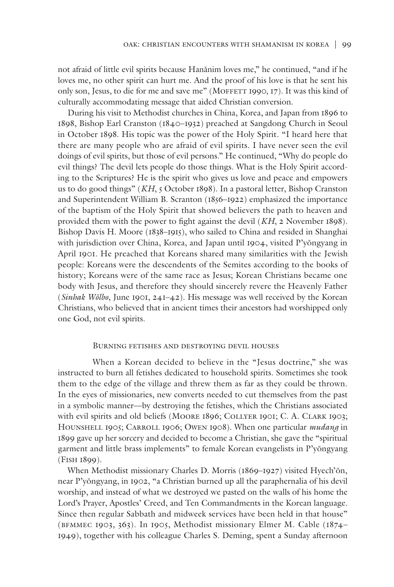not afraid of little evil spirits because Hanănim loves me," he continued, "and if he loves me, no other spirit can hurt me. And the proof of his love is that he sent his only son, Jesus, to die for me and save me" (MOFFETT 1990, 17). It was this kind of culturally accommodating message that aided Christian conversion.

During his visit to Methodist churches in China, Korea, and Japan from 1896 to 1898, Bishop Earl Cranston (1840–1932) preached at Sangdong Church in Seoul in October 1898. His topic was the power of the Holy Spirit. "I heard here that there are many people who are afraid of evil spirits. I have never seen the evil doings of evil spirits, but those of evil persons." He continued, "Why do people do evil things? The devil lets people do those things. What is the Holy Spirit according to the Scriptures? He is the spirit who gives us love and peace and empowers us to do good things" (*KH*, 5 October 1898). In a pastoral letter, Bishop Cranston and Superintendent William B. Scranton (1856–1922) emphasized the importance of the baptism of the Holy Spirit that showed believers the path to heaven and provided them with the power to fight against the devil (*KH*, 2 November 1898). Bishop Davis H. Moore (1838–1915), who sailed to China and resided in Shanghai with jurisdiction over China, Korea, and Japan until 1904, visited P'yŏngyang in April 1901. He preached that Koreans shared many similarities with the Jewish people: Koreans were the descendents of the Semites according to the books of history; Koreans were of the same race as Jesus; Korean Christians became one body with Jesus, and therefore they should sincerely revere the Heavenly Father (*Sinhak Wŏlbo*, June 1901, 241–42). His message was well received by the Korean Christians, who believed that in ancient times their ancestors had worshipped only one God, not evil spirits.

#### Burning fetishes and destroying devil houses

When a Korean decided to believe in the "Jesus doctrine," she was instructed to burn all fetishes dedicated to household spirits. Sometimes she took them to the edge of the village and threw them as far as they could be thrown. In the eyes of missionaries, new converts needed to cut themselves from the past in a symbolic manner—by destroying the fetishes, which the Christians associated with evil spirits and old beliefs (MOORE 1896; COLLYER 1901; C. A. CLARK 1903; Hounshell 1905; Carroll 1906; Owen 1908). When one particular *mudang* in 1899 gave up her sorcery and decided to become a Christian, she gave the "spiritual garment and little brass implements" to female Korean evangelists in P'yŏngyang (Fish 1899).

When Methodist missionary Charles D. Morris (1869–1927) visited Hyech'ŏn, near P'yŏngyang, in 1902, "a Christian burned up all the paraphernalia of his devil worship, and instead of what we destroyed we pasted on the walls of his home the Lord's Prayer, Apostles' Creed, and Ten Commandments in the Korean language. Since then regular Sabbath and midweek services have been held in that house" (BFMMEC 1903, 363). In 1905, Methodist missionary Elmer M. Cable (1874– 1949), together with his colleague Charles S. Deming, spent a Sunday afternoon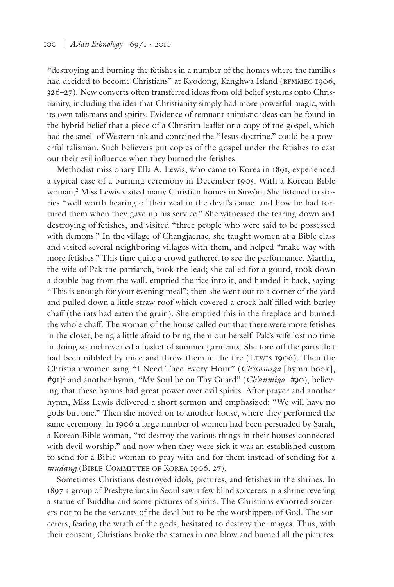"destroying and burning the fetishes in a number of the homes where the families had decided to become Christians" at Kyodong, Kanghwa Island (BFMMEC 1906, 326–27). New converts often transferred ideas from old belief systems onto Christianity, including the idea that Christianity simply had more powerful magic, with its own talismans and spirits. Evidence of remnant animistic ideas can be found in the hybrid belief that a piece of a Christian leaflet or a copy of the gospel, which had the smell of Western ink and contained the "Jesus doctrine," could be a powerful talisman. Such believers put copies of the gospel under the fetishes to cast out their evil influence when they burned the fetishes.

Methodist missionary Ella A. Lewis, who came to Korea in 1891, experienced a typical case of a burning ceremony in December 1905. With a Korean Bible woman,2 Miss Lewis visited many Christian homes in Suwŏn. She listened to stories "well worth hearing of their zeal in the devil's cause, and how he had tortured them when they gave up his service." She witnessed the tearing down and destroying of fetishes, and visited "three people who were said to be possessed with demons." In the village of Changjaenae, she taught women at a Bible class and visited several neighboring villages with them, and helped "make way with more fetishes." This time quite a crowd gathered to see the performance. Martha, the wife of Pak the patriarch, took the lead; she called for a gourd, took down a double bag from the wall, emptied the rice into it, and handed it back, saying "This is enough for your evening meal"; then she went out to a corner of the yard and pulled down a little straw roof which covered a crock half-filled with barley chaff (the rats had eaten the grain). She emptied this in the fireplace and burned the whole chaff. The woman of the house called out that there were more fetishes in the closet, being a little afraid to bring them out herself. Pak's wife lost no time in doing so and revealed a basket of summer garments. She tore off the parts that had been nibbled by mice and threw them in the fire (Lewis 1906). Then the Christian women sang "I Need Thee Every Hour" (*Ch'anmiga* [hymn book], #91)3 and another hymn, "My Soul be on Thy Guard" (*Ch'anmiga*, *#*90), believing that these hymns had great power over evil spirits. After prayer and another hymn, Miss Lewis delivered a short sermon and emphasized: "We will have no gods but one." Then she moved on to another house, where they performed the same ceremony. In 1906 a large number of women had been persuaded by Sarah, a Korean Bible woman, "to destroy the various things in their houses connected with devil worship," and now when they were sick it was an established custom to send for a Bible woman to pray with and for them instead of sending for a mudang (BIBLE COMMITTEE OF KOREA 1906, 27).

Sometimes Christians destroyed idols, pictures, and fetishes in the shrines. In 1897 a group of Presbyterians in Seoul saw a few blind sorcerers in a shrine revering a statue of Buddha and some pictures of spirits. The Christians exhorted sorcerers not to be the servants of the devil but to be the worshippers of God. The sorcerers, fearing the wrath of the gods, hesitated to destroy the images. Thus, with their consent, Christians broke the statues in one blow and burned all the pictures.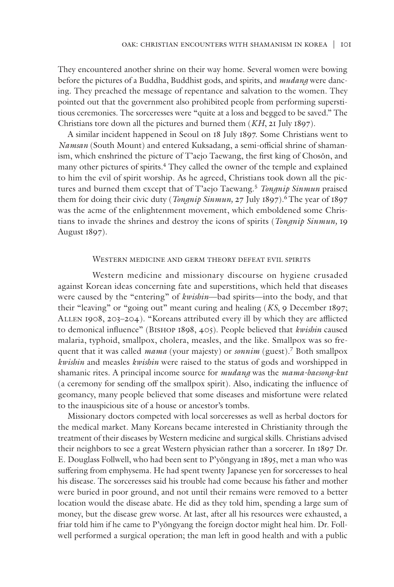They encountered another shrine on their way home. Several women were bowing before the pictures of a Buddha, Buddhist gods, and spirits, and *mudang* were dancing. They preached the message of repentance and salvation to the women. They pointed out that the government also prohibited people from performing superstitious ceremonies. The sorceresses were "quite at a loss and begged to be saved." The Christians tore down all the pictures and burned them (*KH*, 21 July 1897).

A similar incident happened in Seoul on 18 July 1897. Some Christians went to *Namsan* (South Mount) and entered Kuksadang, a semi-official shrine of shamanism, which enshrined the picture of T'aejo Taewang, the first king of Chosŏn, and many other pictures of spirits.<sup>4</sup> They called the owner of the temple and explained to him the evil of spirit worship. As he agreed, Christians took down all the pictures and burned them except that of T'aejo Taewang.5 *Tongnip Sinmun* praised them for doing their civic duty (*Tongnip Sinmun,* 27 July 1897).6 The year of 1897 was the acme of the enlightenment movement, which emboldened some Christians to invade the shrines and destroy the icons of spirits (*Tongnip Sinmun,* 19 August 1897).

# Western medicine and germ theory defeat evil spirits

Western medicine and missionary discourse on hygiene crusaded against Korean ideas concerning fate and superstitions, which held that diseases were caused by the "entering" of *kwishin*—bad spirits—into the body, and that their "leaving" or "going out" meant curing and healing (*KS*, 9 December 1897; Allen 1908, 203–204). "Koreans attributed every ill by which they are afflicted to demonical influence" (Bishop 1898, 405). People believed that *kwishin* caused malaria, typhoid, smallpox, cholera, measles, and the like. Smallpox was so frequent that it was called *mama* (your majesty) or *sonnim* (guest).7 Both smallpox *kwishin* and measles *kwishin* were raised to the status of gods and worshipped in shamanic rites. A principal income source for *mudang* was the *mama-baesong-kut* (a ceremony for sending off the smallpox spirit). Also, indicating the influence of geomancy, many people believed that some diseases and misfortune were related to the inauspicious site of a house or ancestor's tombs.

Missionary doctors competed with local sorceresses as well as herbal doctors for the medical market. Many Koreans became interested in Christianity through the treatment of their diseases by Western medicine and surgical skills. Christians advised their neighbors to see a great Western physician rather than a sorcerer. In 1897 Dr. E. Douglass Follwell, who had been sent to P'yŏngyang in 1895, met a man who was suffering from emphysema. He had spent twenty Japanese yen for sorceresses to heal his disease. The sorceresses said his trouble had come because his father and mother were buried in poor ground, and not until their remains were removed to a better location would the disease abate. He did as they told him, spending a large sum of money, but the disease grew worse. At last, after all his resources were exhausted, a friar told him if he came to P'yŏngyang the foreign doctor might heal him. Dr. Follwell performed a surgical operation; the man left in good health and with a public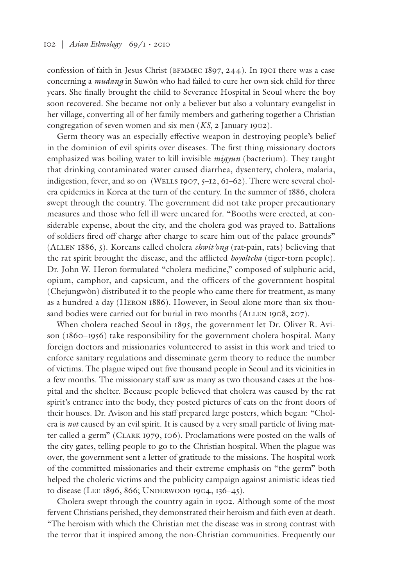confession of faith in Jesus Christ (BFMMEC 1897, 244). In 1901 there was a case concerning a *mudang* in Suwŏn who had failed to cure her own sick child for three years. She finally brought the child to Severance Hospital in Seoul where the boy soon recovered. She became not only a believer but also a voluntary evangelist in her village, converting all of her family members and gathering together a Christian congregation of seven women and six men (*KS*, 2 January 1902).

Germ theory was an especially effective weapon in destroying people's belief in the dominion of evil spirits over diseases. The first thing missionary doctors emphasized was boiling water to kill invisible *migyun* (bacterium). They taught that drinking contaminated water caused diarrhea, dysentery, cholera, malaria, indigestion, fever, and so on (WELLS 1907, 5-12, 61-62). There were several cholera epidemics in Korea at the turn of the century. In the summer of 1886, cholera swept through the country. The government did not take proper precautionary measures and those who fell ill were uncared for. "Booths were erected, at considerable expense, about the city, and the cholera god was prayed to. Battalions of soldiers fired off charge after charge to scare him out of the palace grounds" (Allen 1886, 5). Koreans called cholera *chwit'ong* (rat-pain, rats) believing that the rat spirit brought the disease, and the afflicted *hoyoltcha* (tiger-torn people). Dr. John W. Heron formulated "cholera medicine," composed of sulphuric acid, opium, camphor, and capsicum, and the officers of the government hospital (Chejungwŏn) distributed it to the people who came there for treatment, as many as a hundred a day (Heron 1886). However, in Seoul alone more than six thousand bodies were carried out for burial in two months (ALLEN 1908, 207).

When cholera reached Seoul in 1895, the government let Dr. Oliver R. Avison (1860–1956) take responsibility for the government cholera hospital. Many foreign doctors and missionaries volunteered to assist in this work and tried to enforce sanitary regulations and disseminate germ theory to reduce the number of victims. The plague wiped out five thousand people in Seoul and its vicinities in a few months. The missionary staff saw as many as two thousand cases at the hospital and the shelter. Because people believed that cholera was caused by the rat spirit's entrance into the body, they posted pictures of cats on the front doors of their houses. Dr. Avison and his staff prepared large posters, which began: "Cholera is *not* caused by an evil spirit. It is caused by a very small particle of living matter called a germ" (Clark 1979, 106). Proclamations were posted on the walls of the city gates, telling people to go to the Christian hospital. When the plague was over, the government sent a letter of gratitude to the missions. The hospital work of the committed missionaries and their extreme emphasis on "the germ" both helped the choleric victims and the publicity campaign against animistic ideas tied to disease (LEE 1896, 866; UNDERWOOD 1904, 136-45).

Cholera swept through the country again in 1902. Although some of the most fervent Christians perished, they demonstrated their heroism and faith even at death. "The heroism with which the Christian met the disease was in strong contrast with the terror that it inspired among the non-Christian communities. Frequently our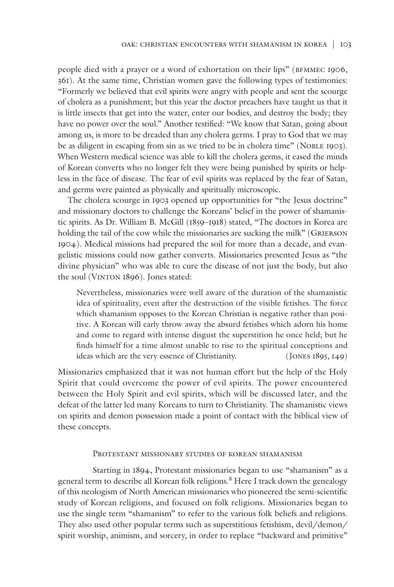people died with a prayer or a word of exhortation on their lips" (BFMMEC 1906, 361). At the same time, Christian women gave the following types of testimonies: "Formerly we believed that evil spirits were angry with people and sent the scourge of cholera as a punishment; but this year the doctor preachers have taught us that it is little insects that get into the water, enter our bodies, and destroy the body; they have no power over the soul." Another testified: "We know that Satan, going about among us, is more to be dreaded than any cholera germs. I pray to God that we may be as diligent in escaping from sin as we tried to be in cholera time" (NOBLE 1903). When Western medical science was able to kill the cholera germs, it eased the minds of Korean converts who no longer felt they were being punished by spirits or helpless in the face of disease. The fear of evil spirits was replaced by the fear of Satan, and germs were painted as physically and spiritually microscopic.

The cholera scourge in 1903 opened up opportunities for "the Jesus doctrine" and missionary doctors to challenge the Koreans' belief in the power of shamanistic spirits. As Dr. William B. McGill (1859–1918) stated, "The doctors in Korea are holding the tail of the cow while the missionaries are sucking the milk" (GRIERSON 1904). Medical missions had prepared the soil for more than a decade, and evangelistic missions could now gather converts. Missionaries presented Jesus as "the divine physician" who was able to cure the disease of not just the body, but also the soul (Vinton 1896). Jones stated:

Nevertheless, missionaries were well aware of the duration of the shamanistic idea of spirituality, even after the destruction of the visible fetishes. The force which shamanism opposes to the Korean Christian is negative rather than positive. A Korean will early throw away the absurd fetishes which adorn his home and come to regard with intense disgust the superstition he once held; but he finds himself for a time almost unable to rise to the spiritual conceptions and ideas which are the very essence of Christianity. (Jones 1895, 149)

Missionaries emphasized that it was not human effort but the help of the Holy Spirit that could overcome the power of evil spirits. The power encountered between the Holy Spirit and evil spirits, which will be discussed later, and the defeat of the latter led many Koreans to turn to Christianity. The shamanistic views on spirits and demon possession made a point of contact with the biblical view of these concepts.

#### Protestant missionary studies of korean shamanism

Starting in 1894, Protestant missionaries began to use "shamanism" as a general term to describe all Korean folk religions.<sup>8</sup> Here I track down the genealogy of this neologism of North American missionaries who pioneered the semi-scientific study of Korean religions, and focused on folk religions. Missionaries began to use the single term "shamanism" to refer to the various folk beliefs and religions. They also used other popular terms such as superstitious fetishism, devil/demon/ spirit worship, animism, and sorcery, in order to replace "backward and primitive"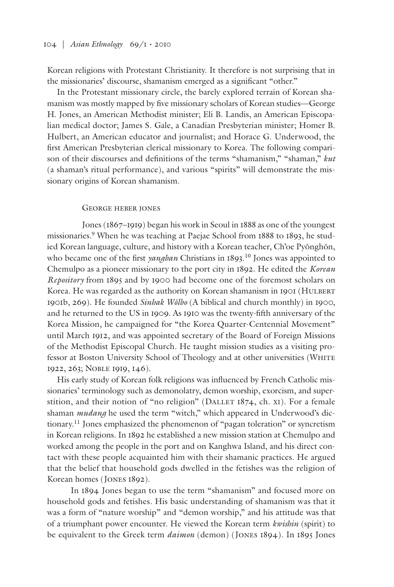Korean religions with Protestant Christianity. It therefore is not surprising that in the missionaries' discourse, shamanism emerged as a significant "other."

In the Protestant missionary circle, the barely explored terrain of Korean shamanism was mostly mapped by five missionary scholars of Korean studies—George H. Jones, an American Methodist minister; Eli B. Landis, an American Episcopalian medical doctor; James S. Gale, a Canadian Presbyterian minister; Homer B. Hulbert, an American educator and journalist; and Horace G. Underwood, the first American Presbyterian clerical missionary to Korea. The following comparison of their discourses and definitions of the terms "shamanism," "shaman," *kut* (a shaman's ritual performance), and various "spirits" will demonstrate the missionary origins of Korean shamanism.

### George heber jones

Jones (1867–1919) began his work in Seoul in 1888 as one of the youngest missionaries.9 When he was teaching at Paejae School from 1888 to 1893, he studied Korean language, culture, and history with a Korean teacher, Ch'oe Pyŏnghŏn, who became one of the first *yangban* Christians in 1893.<sup>10</sup> Jones was appointed to Chemulpo as a pioneer missionary to the port city in 1892. He edited the *Korean Repository* from 1895 and by 1900 had become one of the foremost scholars on Korea. He was regarded as the authority on Korean shamanism in 1901 (HULBERT 1901b, 269). He founded *Sinhak Wŏlbo* (A biblical and church monthly) in 1900, and he returned to the US in 1909. As 1910 was the twenty-fifth anniversary of the Korea Mission, he campaigned for "the Korea Quarter-Centennial Movement" until March 1912, and was appointed secretary of the Board of Foreign Missions of the Methodist Episcopal Church. He taught mission studies as a visiting professor at Boston University School of Theology and at other universities (WHITE 1922, 263; Noble 1919, 146).

His early study of Korean folk religions was influenced by French Catholic missionaries' terminology such as demonolatry, demon worship, exorcism, and superstition, and their notion of "no religion" (DALLET 1874, ch. XI). For a female shaman *mudang* he used the term "witch," which appeared in Underwood's dictionary.11 Jones emphasized the phenomenon of "pagan toleration" or syncretism in Korean religions. In 1892 he established a new mission station at Chemulpo and worked among the people in the port and on Kanghwa Island, and his direct contact with these people acquainted him with their shamanic practices. He argued that the belief that household gods dwelled in the fetishes was the religion of Korean homes (Jones 1892).

In 1894 Jones began to use the term "shamanism" and focused more on household gods and fetishes. His basic understanding of shamanism was that it was a form of "nature worship" and "demon worship," and his attitude was that of a triumphant power encounter. He viewed the Korean term *kwishin* (spirit) to be equivalent to the Greek term *daimon* (demon) (Jones 1894). In 1895 Jones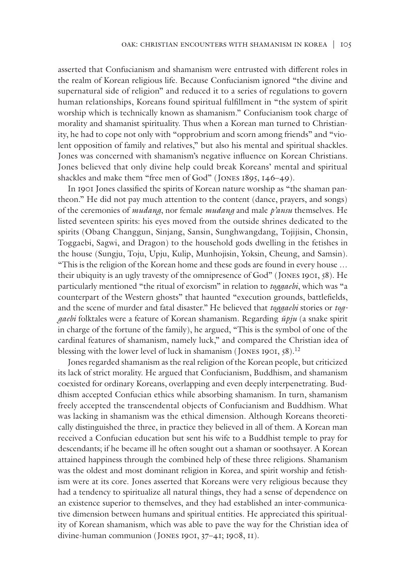asserted that Confucianism and shamanism were entrusted with different roles in the realm of Korean religious life. Because Confucianism ignored "the divine and supernatural side of religion" and reduced it to a series of regulations to govern human relationships, Koreans found spiritual fulfillment in "the system of spirit worship which is technically known as shamanism." Confucianism took charge of morality and shamanist spirituality. Thus when a Korean man turned to Christianity, he had to cope not only with "opprobrium and scorn among friends" and "violent opposition of family and relatives," but also his mental and spiritual shackles. Jones was concerned with shamanism's negative influence on Korean Christians. Jones believed that only divine help could break Koreans' mental and spiritual shackles and make them "free men of God" (Jones 1895, 146–49).

In 1901 Jones classified the spirits of Korean nature worship as "the shaman pantheon." He did not pay much attention to the content (dance, prayers, and songs) of the ceremonies of *mudang*, nor female *mudang* and male *p'ansu* themselves. He listed seventeen spirits: his eyes moved from the outside shrines dedicated to the spirits (Obang Changgun, Sinjang, Sansin, Sunghwangdang, Tojijisin, Chonsin, Toggaebi, Sagwi, and Dragon) to the household gods dwelling in the fetishes in the house (Sungju, Toju, Upju, Kulip, Munhojisin, Yoksin, Cheung, and Samsin). "This is the religion of the Korean home and these gods are found in every house … their ubiquity is an ugly travesty of the omnipresence of God" (Jones 1901, 58). He particularly mentioned "the ritual of exorcism" in relation to *toggaebi*, which was "a counterpart of the Western ghosts" that haunted "execution grounds, battlefields, and the scene of murder and fatal disaster." He believed that *toggaebi* stories or *toggaebi* folktales were a feature of Korean shamanism. Regarding *ŭpju* (a snake spirit in charge of the fortune of the family), he argued, "This is the symbol of one of the cardinal features of shamanism, namely luck," and compared the Christian idea of blessing with the lower level of luck in shamanism (JONES 1901,  $\zeta$ 8).<sup>12</sup>

Jones regarded shamanism as the real religion of the Korean people, but criticized its lack of strict morality. He argued that Confucianism, Buddhism, and shamanism coexisted for ordinary Koreans, overlapping and even deeply interpenetrating. Buddhism accepted Confucian ethics while absorbing shamanism. In turn, shamanism freely accepted the transcendental objects of Confucianism and Buddhism. What was lacking in shamanism was the ethical dimension. Although Koreans theoretically distinguished the three, in practice they believed in all of them. A Korean man received a Confucian education but sent his wife to a Buddhist temple to pray for descendants; if he became ill he often sought out a shaman or soothsayer. A Korean attained happiness through the combined help of these three religions. Shamanism was the oldest and most dominant religion in Korea, and spirit worship and fetishism were at its core. Jones asserted that Koreans were very religious because they had a tendency to spiritualize all natural things, they had a sense of dependence on an existence superior to themselves, and they had established an inter-communicative dimension between humans and spiritual entities. He appreciated this spirituality of Korean shamanism, which was able to pave the way for the Christian idea of divine-human communion (Jones 1901, 37–41; 1908, 11).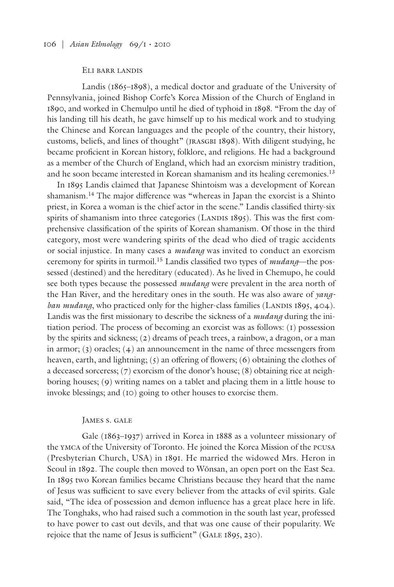#### Eli barr landis

Landis (1865–1898), a medical doctor and graduate of the University of Pennsylvania, joined Bishop Corfe's Korea Mission of the Church of England in 1890, and worked in Chemulpo until he died of typhoid in 1898. "From the day of his landing till his death, he gave himself up to his medical work and to studying the Chinese and Korean languages and the people of the country, their history, customs, beliefs, and lines of thought" (JRASGBI 1898). With diligent studying, he became proficient in Korean history, folklore, and religions. He had a background as a member of the Church of England, which had an exorcism ministry tradition, and he soon became interested in Korean shamanism and its healing ceremonies.<sup>13</sup>

In 1895 Landis claimed that Japanese Shintoism was a development of Korean shamanism.14 The major difference was "whereas in Japan the exorcist is a Shinto priest, in Korea a woman is the chief actor in the scene." Landis classified thirty-six spirits of shamanism into three categories (LANDIS 1895). This was the first comprehensive classification of the spirits of Korean shamanism. Of those in the third category, most were wandering spirits of the dead who died of tragic accidents or social injustice. In many cases a *mudang* was invited to conduct an exorcism ceremony for spirits in turmoil.15 Landis classified two types of *mudang*—the possessed (destined) and the hereditary (educated). As he lived in Chemupo, he could see both types because the possessed *mudang* were prevalent in the area north of the Han River, and the hereditary ones in the south. He was also aware of *yangban mudang*, who practiced only for the higher-class families (LANDIS 1895, 404). Landis was the first missionary to describe the sickness of a *mudang* during the initiation period. The process of becoming an exorcist was as follows: (1) possession by the spirits and sickness; (2) dreams of peach trees, a rainbow, a dragon, or a man in armor;  $(3)$  oracles;  $(4)$  an announcement in the name of three messengers from heaven, earth, and lightning; (5) an offering of flowers; (6) obtaining the clothes of a deceased sorceress; (7) exorcism of the donor's house; (8) obtaining rice at neighboring houses; (9) writing names on a tablet and placing them in a little house to invoke blessings; and (10) going to other houses to exorcise them.

# James s. gale

Gale (1863–1937) arrived in Korea in 1888 as a volunteer missionary of the YMCA of the University of Toronto. He joined the Korea Mission of the PCUSA (Presbyterian Church, USA) in 1891. He married the widowed Mrs. Heron in Seoul in 1892. The couple then moved to Wŏnsan, an open port on the East Sea. In 1895 two Korean families became Christians because they heard that the name of Jesus was sufficient to save every believer from the attacks of evil spirits. Gale said, "The idea of possession and demon influence has a great place here in life. The Tonghaks, who had raised such a commotion in the south last year, professed to have power to cast out devils, and that was one cause of their popularity. We rejoice that the name of Jesus is sufficient" (GALE 1895, 230).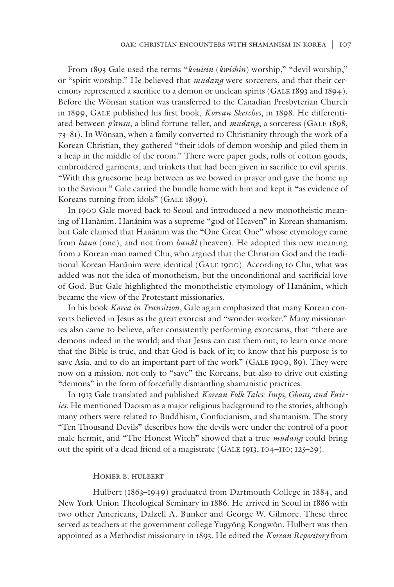From 1893 Gale used the terms "*kouisin* (*kwishin*) worship," "devil worship," or "spirit worship." He believed that *mudang* were sorcerers, and that their ceremony represented a sacrifice to a demon or unclean spirits (GALE 1893 and 1894). Before the Wŏnsan station was transferred to the Canadian Presbyterian Church in 1899, Gale published his first book, *Korean Sketches*, in 1898. He differentiated between *p'ansu*, a blind fortune-teller, and *mudang*, a sorceress (Gale 1898, 73–81). In Wŏnsan, when a family converted to Christianity through the work of a Korean Christian, they gathered "their idols of demon worship and piled them in a heap in the middle of the room." There were paper gods, rolls of cotton goods, embroidered garments, and trinkets that had been given in sacrifice to evil spirits. "With this gruesome heap between us we bowed in prayer and gave the home up to the Saviour." Gale carried the bundle home with him and kept it "as evidence of Koreans turning from idols" (GALE 1899).

In 1900 Gale moved back to Seoul and introduced a new monotheistic meaning of Hanănim*.* Hanănim was a supreme "god of Heaven" in Korean shamanism, but Gale claimed that Hanănim was the "One Great One" whose etymology came from *hana* (one), and not from *hanăl* (heaven). He adopted this new meaning from a Korean man named Chu, who argued that the Christian God and the traditional Korean Hanănim were identical (Gale 1900). According to Chu, what was added was not the idea of monotheism, but the unconditional and sacrificial love of God. But Gale highlighted the monotheistic etymology of Hanănim, which became the view of the Protestant missionaries.

In his book *Korea in Transition*, Gale again emphasized that many Korean converts believed in Jesus as the great exorcist and "wonder-worker." Many missionaries also came to believe, after consistently performing exorcisms, that "there are demons indeed in the world; and that Jesus can cast them out; to learn once more that the Bible is true, and that God is back of it; to know that his purpose is to save Asia, and to do an important part of the work" (Gale 1909, 89). They were now on a mission, not only to "save" the Koreans, but also to drive out existing "demons" in the form of forcefully dismantling shamanistic practices.

In 1913 Gale translated and published *Korean Folk Tales: Imps, Ghosts, and Fairies*. He mentioned Daoism as a major religious background to the stories, although many others were related to Buddhism, Confucianism, and shamanism. The story "Ten Thousand Devils" describes how the devils were under the control of a poor male hermit, and "The Honest Witch" showed that a true *mudang* could bring out the spirit of a dead friend of a magistrate (Gale 1913, 104–110; 125–29).

# Homer b. hulbert

Hulbert (1863–1949) graduated from Dartmouth College in 1884, and New York Union Theological Seminary in 1886. He arrived in Seoul in 1886 with two other Americans, Dalzell A. Bunker and George W. Gilmore. These three served as teachers at the government college Yugyŏng Kongwŏn. Hulbert was then appointed as a Methodist missionary in 1893. He edited the *Korean Repository* from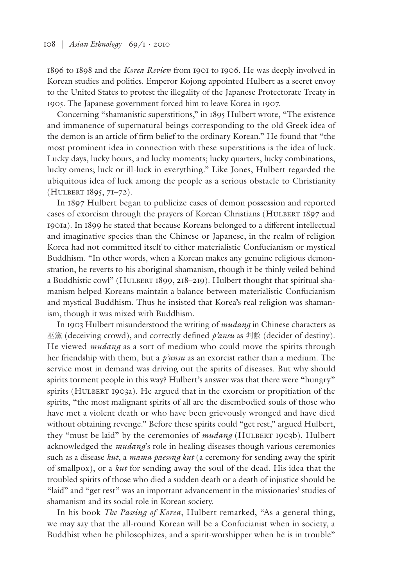1896 to 1898 and the *Korea Review* from 1901 to 1906. He was deeply involved in Korean studies and politics. Emperor Kojong appointed Hulbert as a secret envoy to the United States to protest the illegality of the Japanese Protectorate Treaty in 1905. The Japanese government forced him to leave Korea in 1907.

Concerning "shamanistic superstitions," in 1895 Hulbert wrote, "The existence and immanence of supernatural beings corresponding to the old Greek idea of the demon is an article of firm belief to the ordinary Korean." He found that "the most prominent idea in connection with these superstitions is the idea of luck. Lucky days, lucky hours, and lucky moments; lucky quarters, lucky combinations, lucky omens; luck or ill-luck in everything." Like Jones, Hulbert regarded the ubiquitous idea of luck among the people as a serious obstacle to Christianity (Hulbert 1895, 71–72).

In 1897 Hulbert began to publicize cases of demon possession and reported cases of exorcism through the prayers of Korean Christians (Hulbert 1897 and 1901a). In 1899 he stated that because Koreans belonged to a different intellectual and imaginative species than the Chinese or Japanese, in the realm of religion Korea had not committed itself to either materialistic Confucianism or mystical Buddhism. "In other words, when a Korean makes any genuine religious demonstration, he reverts to his aboriginal shamanism, though it be thinly veiled behind a Buddhistic cowl" (HULBERT 1899, 218-219). Hulbert thought that spiritual shamanism helped Koreans maintain a balance between materialistic Confucianism and mystical Buddhism. Thus he insisted that Korea's real religion was shamanism, though it was mixed with Buddhism.

In 1903 Hulbert misunderstood the writing of *mudang* in Chinese characters as 巫黨 (deceiving crowd), and correctly defined *p'ansu* as 判數 (decider of destiny). He viewed *mudang* as a sort of medium who could move the spirits through her friendship with them, but a *p'ansu* as an exorcist rather than a medium. The service most in demand was driving out the spirits of diseases. But why should spirits torment people in this way? Hulbert's answer was that there were "hungry" spirits (HULBERT 1903a). He argued that in the exorcism or propitiation of the spirits, "the most malignant spirits of all are the disembodied souls of those who have met a violent death or who have been grievously wronged and have died without obtaining revenge." Before these spirits could "get rest," argued Hulbert, they "must be laid" by the ceremonies of *mudang* (Hulbert 1903b). Hulbert acknowledged the *mudang*'s role in healing diseases though various ceremonies such as a disease *kut*, a *mama paesong kut* (a ceremony for sending away the spirit of smallpox), or a *kut* for sending away the soul of the dead. His idea that the troubled spirits of those who died a sudden death or a death of injustice should be "laid" and "get rest" was an important advancement in the missionaries' studies of shamanism and its social role in Korean society.

In his book *The Passing of Korea*, Hulbert remarked, "As a general thing, we may say that the all-round Korean will be a Confucianist when in society, a Buddhist when he philosophizes, and a spirit-worshipper when he is in trouble"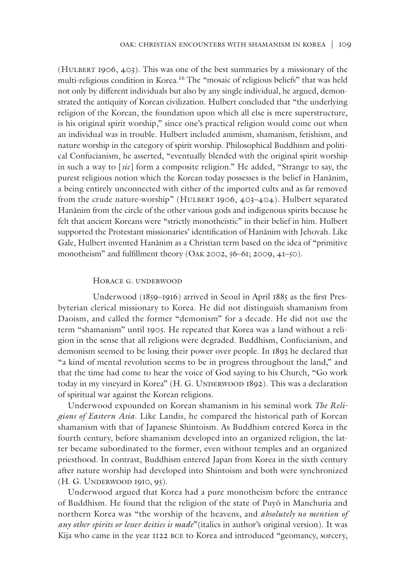(HULBERT 1906,  $403$ ). This was one of the best summaries by a missionary of the multi-religious condition in Korea.16 The "mosaic of religious beliefs" that was held not only by different individuals but also by any single individual, he argued, demonstrated the antiquity of Korean civilization. Hulbert concluded that "the underlying religion of the Korean, the foundation upon which all else is mere superstructure, is his original spirit worship," since one's practical religion would come out when an individual was in trouble. Hulbert included animism, shamanism, fetishism, and nature worship in the category of spirit worship. Philosophical Buddhism and political Confucianism, he asserted, "eventually blended with the original spirit worship in such a way to [*sic*] form a composite religion." He added, "Strange to say, the purest religious notion which the Korean today possesses is the belief in Hanănim, a being entirely unconnected with either of the imported cults and as far removed from the crude nature-worship" (Hulbert 1906, 403–404). Hulbert separated Hanănim from the circle of the other various gods and indigenous spirits because he felt that ancient Koreans were "strictly monotheistic" in their belief in him. Hulbert supported the Protestant missionaries' identification of Hanănim with Jehovah. Like Gale, Hulbert invented Hanănim as a Christian term based on the idea of "primitive monotheism" and fulfillment theory (Oak 2002, 56–61; 2009, 41–50).

## Horace g. underwood

Underwood (1859–1916) arrived in Seoul in April 1885 as the first Presbyterian clerical missionary to Korea. He did not distinguish shamanism from Daoism, and called the former "demonism" for a decade. He did not use the term "shamanism" until 1905. He repeated that Korea was a land without a religion in the sense that all religions were degraded. Buddhism, Confucianism, and demonism seemed to be losing their power over people. In 1893 he declared that "a kind of mental revolution seems to be in progress throughout the land," and that the time had come to hear the voice of God saying to his Church, "Go work today in my vineyard in Korea" (H. G. UNDERWOOD 1892). This was a declaration of spiritual war against the Korean religions.

Underwood expounded on Korean shamanism in his seminal work *The Religions of Eastern Asia*. Like Landis, he compared the historical path of Korean shamanism with that of Japanese Shintoism. As Buddhism entered Korea in the fourth century, before shamanism developed into an organized religion, the latter became subordinated to the former, even without temples and an organized priesthood. In contrast, Buddhism entered Japan from Korea in the sixth century after nature worship had developed into Shintoism and both were synchronized (H. G. Underwood 1910, 95).

Underwood argued that Korea had a pure monotheism before the entrance of Buddhism. He found that the religion of the state of Puyŏ in Manchuria and northern Korea was "the worship of the heavens, and *absolutely no mention of any other spirits or lesser deities is made*"(italics in author's original version). It was Kija who came in the year 1122 BCE to Korea and introduced "geomancy, sorcery,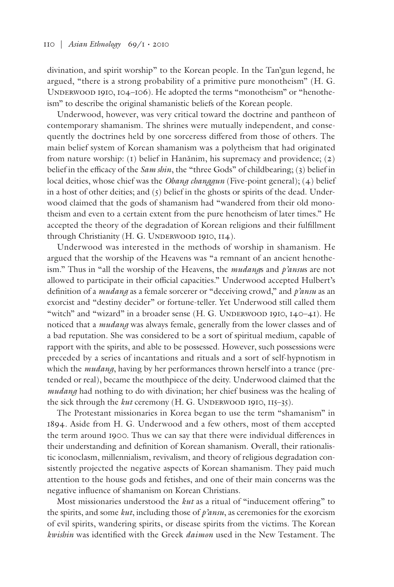divination, and spirit worship" to the Korean people. In the Tan'gun legend, he argued, "there is a strong probability of a primitive pure monotheism" (H. G. UNDERWOOD 1910, 104-106). He adopted the terms "monotheism" or "henotheism" to describe the original shamanistic beliefs of the Korean people.

Underwood, however, was very critical toward the doctrine and pantheon of contemporary shamanism. The shrines were mutually independent, and consequently the doctrines held by one sorceress differed from those of others. The main belief system of Korean shamanism was a polytheism that had originated from nature worship: (1) belief in Hanănim, his supremacy and providence; (2) belief in the efficacy of the *Sam shin*, the "three Gods" of childbearing; (3) belief in local deities, whose chief was the *Obang changgun* (Five-point general); (4) belief in a host of other deities; and  $(5)$  belief in the ghosts or spirits of the dead. Underwood claimed that the gods of shamanism had "wandered from their old monotheism and even to a certain extent from the pure henotheism of later times." He accepted the theory of the degradation of Korean religions and their fulfillment through Christianity (H. G. UNDERWOOD 1910, 114).

Underwood was interested in the methods of worship in shamanism. He argued that the worship of the Heavens was "a remnant of an ancient henotheism." Thus in "all the worship of the Heavens, the *mudang*s and *p'ansu*s are not allowed to participate in their official capacities." Underwood accepted Hulbert's definition of a *mudang* as a female sorcerer or "deceiving crowd," and *p'ansu* as an exorcist and "destiny decider" or fortune-teller. Yet Underwood still called them "witch" and "wizard" in a broader sense  $(H, G, UNDERWOOD$  1910, 140–41). He noticed that a *mudang* was always female, generally from the lower classes and of a bad reputation. She was considered to be a sort of spiritual medium, capable of rapport with the spirits, and able to be possessed. However, such possessions were preceded by a series of incantations and rituals and a sort of self-hypnotism in which the *mudang*, having by her performances thrown herself into a trance (pretended or real), became the mouthpiece of the deity. Underwood claimed that the *mudang* had nothing to do with divination; her chief business was the healing of the sick through the *kut* ceremony (H. G. UNDERWOOD 1910, 115–35).

The Protestant missionaries in Korea began to use the term "shamanism" in 1894. Aside from H. G. Underwood and a few others, most of them accepted the term around 1900. Thus we can say that there were individual differences in their understanding and definition of Korean shamanism. Overall, their rationalistic iconoclasm, millennialism, revivalism, and theory of religious degradation consistently projected the negative aspects of Korean shamanism. They paid much attention to the house gods and fetishes, and one of their main concerns was the negative influence of shamanism on Korean Christians.

Most missionaries understood the *kut* as a ritual of "inducement offering" to the spirits, and some *kut*, including those of *p'ansu*, as ceremonies for the exorcism of evil spirits, wandering spirits, or disease spirits from the victims. The Korean *kwishin* was identified with the Greek *daimon* used in the New Testament. The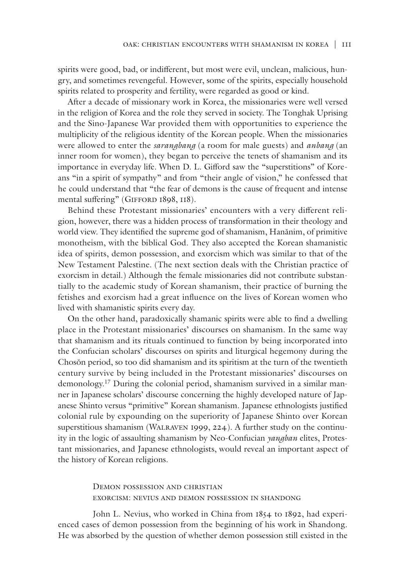spirits were good, bad, or indifferent, but most were evil, unclean, malicious, hungry, and sometimes revengeful. However, some of the spirits, especially household spirits related to prosperity and fertility, were regarded as good or kind.

After a decade of missionary work in Korea, the missionaries were well versed in the religion of Korea and the role they served in society. The Tonghak Uprising and the Sino-Japanese War provided them with opportunities to experience the multiplicity of the religious identity of the Korean people. When the missionaries were allowed to enter the *sarangbang* (a room for male guests) and *anbang* (an inner room for women), they began to perceive the tenets of shamanism and its importance in everyday life. When D. L. Gifford saw the "superstitions" of Koreans "in a spirit of sympathy" and from "their angle of vision," he confessed that he could understand that "the fear of demons is the cause of frequent and intense mental suffering" (GIFFORD 1898, 118).

Behind these Protestant missionaries' encounters with a very different religion, however, there was a hidden process of transformation in their theology and world view. They identified the supreme god of shamanism, Hanănim, of primitive monotheism, with the biblical God. They also accepted the Korean shamanistic idea of spirits, demon possession, and exorcism which was similar to that of the New Testament Palestine. (The next section deals with the Christian practice of exorcism in detail.) Although the female missionaries did not contribute substantially to the academic study of Korean shamanism, their practice of burning the fetishes and exorcism had a great influence on the lives of Korean women who lived with shamanistic spirits every day.

On the other hand, paradoxically shamanic spirits were able to find a dwelling place in the Protestant missionaries' discourses on shamanism. In the same way that shamanism and its rituals continued to function by being incorporated into the Confucian scholars' discourses on spirits and liturgical hegemony during the Chosŏn period, so too did shamanism and its spiritism at the turn of the twentieth century survive by being included in the Protestant missionaries' discourses on demonology.17 During the colonial period, shamanism survived in a similar manner in Japanese scholars' discourse concerning the highly developed nature of Japanese Shinto versus "primitive" Korean shamanism. Japanese ethnologists justified colonial rule by expounding on the superiority of Japanese Shinto over Korean superstitious shamanism (Walraven 1999, 224). A further study on the continuity in the logic of assaulting shamanism by Neo-Confucian *yangban* elites, Protestant missionaries, and Japanese ethnologists, would reveal an important aspect of the history of Korean religions.

> Demon possession and christian exorcism: nevius and demon possession in shandong

John L. Nevius, who worked in China from 1854 to 1892, had experienced cases of demon possession from the beginning of his work in Shandong. He was absorbed by the question of whether demon possession still existed in the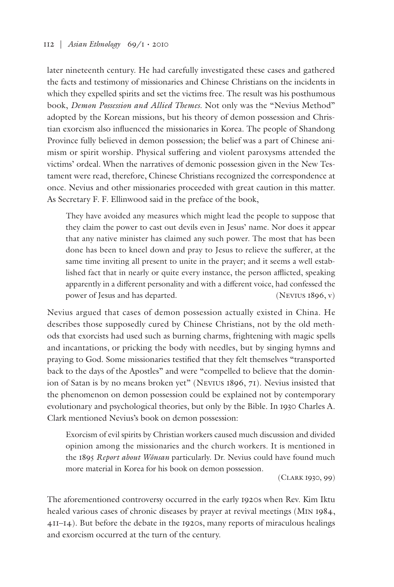later nineteenth century. He had carefully investigated these cases and gathered the facts and testimony of missionaries and Chinese Christians on the incidents in which they expelled spirits and set the victims free. The result was his posthumous book, *Demon Possession and Allied Themes*. Not only was the "Nevius Method" adopted by the Korean missions, but his theory of demon possession and Christian exorcism also influenced the missionaries in Korea. The people of Shandong Province fully believed in demon possession; the belief was a part of Chinese animism or spirit worship. Physical suffering and violent paroxysms attended the victims' ordeal. When the narratives of demonic possession given in the New Testament were read, therefore, Chinese Christians recognized the correspondence at once. Nevius and other missionaries proceeded with great caution in this matter. As Secretary F. F. Ellinwood said in the preface of the book,

They have avoided any measures which might lead the people to suppose that they claim the power to cast out devils even in Jesus' name. Nor does it appear that any native minister has claimed any such power. The most that has been done has been to kneel down and pray to Jesus to relieve the sufferer, at the same time inviting all present to unite in the prayer; and it seems a well established fact that in nearly or quite every instance, the person afflicted, speaking apparently in a different personality and with a different voice, had confessed the power of Jesus and has departed. (NEVIUS 1896, v)

Nevius argued that cases of demon possession actually existed in China. He describes those supposedly cured by Chinese Christians, not by the old methods that exorcists had used such as burning charms, frightening with magic spells and incantations, or pricking the body with needles, but by singing hymns and praying to God. Some missionaries testified that they felt themselves "transported back to the days of the Apostles" and were "compelled to believe that the dominion of Satan is by no means broken yet" (Nevius 1896, 71). Nevius insisted that the phenomenon on demon possession could be explained not by contemporary evolutionary and psychological theories, but only by the Bible. In 1930 Charles A. Clark mentioned Nevius's book on demon possession:

Exorcism of evil spirits by Christian workers caused much discussion and divided opinion among the missionaries and the church workers. It is mentioned in the 1895 *Report about Wŏnsan* particularly. Dr. Nevius could have found much more material in Korea for his book on demon possession.

(Clark 1930, 99)

The aforementioned controversy occurred in the early 1920s when Rev. Kim Iktu healed various cases of chronic diseases by prayer at revival meetings (Min 1984, 411–14). But before the debate in the 1920s, many reports of miraculous healings and exorcism occurred at the turn of the century.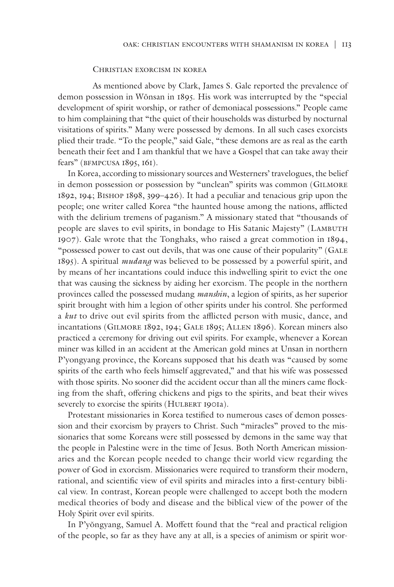#### Christian exorcism in korea

As mentioned above by Clark, James S. Gale reported the prevalence of demon possession in Wŏnsan in 1895. His work was interrupted by the "special development of spirit worship, or rather of demoniacal possessions." People came to him complaining that "the quiet of their households was disturbed by nocturnal visitations of spirits." Many were possessed by demons. In all such cases exorcists plied their trade. "To the people," said Gale, "these demons are as real as the earth beneath their feet and I am thankful that we have a Gospel that can take away their fears" (BFMPCUSA 1895, 161).

In Korea, according to missionary sources and Westerners' travelogues, the belief in demon possession or possession by "unclean" spirits was common (GILMORE 1892, 194; Bishop 1898, 399–426). It had a peculiar and tenacious grip upon the people; one writer called Korea "the haunted house among the nations, afflicted with the delirium tremens of paganism." A missionary stated that "thousands of people are slaves to evil spirits, in bondage to His Satanic Majesty" (Lambuth 1907). Gale wrote that the Tonghaks, who raised a great commotion in 1894, "possessed power to cast out devils, that was one cause of their popularity" (GALE 1895). A spiritual *mudang* was believed to be possessed by a powerful spirit, and by means of her incantations could induce this indwelling spirit to evict the one that was causing the sickness by aiding her exorcism. The people in the northern provinces called the possessed mudang *manshin*, a legion of spirits, as her superior spirit brought with him a legion of other spirits under his control. She performed a *kut* to drive out evil spirits from the afflicted person with music, dance, and incantations (Gilmore 1892, 194; Gale 1895; Allen 1896). Korean miners also practiced a ceremony for driving out evil spirits. For example, whenever a Korean miner was killed in an accident at the American gold mines at Unsan in northern P'yongyang province, the Koreans supposed that his death was "caused by some spirits of the earth who feels himself aggrevated," and that his wife was possessed with those spirits. No sooner did the accident occur than all the miners came flocking from the shaft, offering chickens and pigs to the spirits, and beat their wives severely to exorcise the spirits (HULBERT 1901a).

Protestant missionaries in Korea testified to numerous cases of demon possession and their exorcism by prayers to Christ. Such "miracles" proved to the missionaries that some Koreans were still possessed by demons in the same way that the people in Palestine were in the time of Jesus. Both North American missionaries and the Korean people needed to change their world view regarding the power of God in exorcism. Missionaries were required to transform their modern, rational, and scientific view of evil spirits and miracles into a first-century biblical view. In contrast, Korean people were challenged to accept both the modern medical theories of body and disease and the biblical view of the power of the Holy Spirit over evil spirits.

In P'yŏngyang, Samuel A. Moffett found that the "real and practical religion of the people, so far as they have any at all, is a species of animism or spirit wor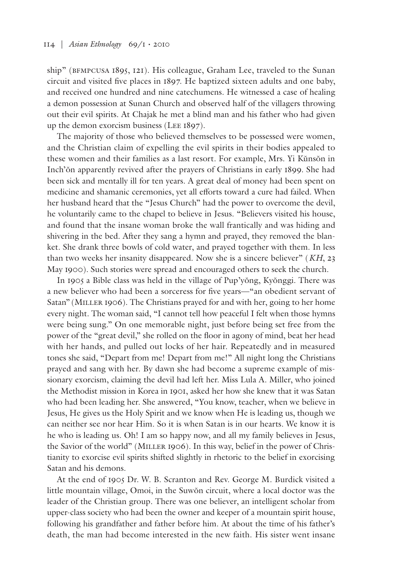ship" (BFMPCUSA 1895, 121). His colleague, Graham Lee, traveled to the Sunan circuit and visited five places in 1897. He baptized sixteen adults and one baby, and received one hundred and nine catechumens. He witnessed a case of healing a demon possession at Sunan Church and observed half of the villagers throwing out their evil spirits. At Chajak he met a blind man and his father who had given up the demon exorcism business (Lee 1897).

The majority of those who believed themselves to be possessed were women, and the Christian claim of expelling the evil spirits in their bodies appealed to these women and their families as a last resort. For example, Mrs. Yi Kŭnsŏn in Inch'ŏn apparently revived after the prayers of Christians in early 1899. She had been sick and mentally ill for ten years. A great deal of money had been spent on medicine and shamanic ceremonies, yet all efforts toward a cure had failed. When her husband heard that the "Jesus Church" had the power to overcome the devil, he voluntarily came to the chapel to believe in Jesus. "Believers visited his house, and found that the insane woman broke the wall frantically and was hiding and shivering in the bed. After they sang a hymn and prayed, they removed the blanket. She drank three bowls of cold water, and prayed together with them. In less than two weeks her insanity disappeared. Now she is a sincere believer" (*KH*, 23 May 1900). Such stories were spread and encouraged others to seek the church.

In 1905 a Bible class was held in the village of Pup'yŏng, Kyŏnggi. There was a new believer who had been a sorceress for five years—"an obedient servant of Satan" (MILLER 1906). The Christians prayed for and with her, going to her home every night. The woman said, "I cannot tell how peaceful I felt when those hymns were being sung." On one memorable night, just before being set free from the power of the "great devil," she rolled on the floor in agony of mind, beat her head with her hands, and pulled out locks of her hair. Repeatedly and in measured tones she said, "Depart from me! Depart from me!" All night long the Christians prayed and sang with her. By dawn she had become a supreme example of missionary exorcism, claiming the devil had left her. Miss Lula A. Miller, who joined the Methodist mission in Korea in 1901, asked her how she knew that it was Satan who had been leading her. She answered, "You know, teacher, when we believe in Jesus, He gives us the Holy Spirit and we know when He is leading us, though we can neither see nor hear Him. So it is when Satan is in our hearts. We know it is he who is leading us. Oh! I am so happy now, and all my family believes in Jesus, the Savior of the world" (MILLER 1906). In this way, belief in the power of Christianity to exorcise evil spirits shifted slightly in rhetoric to the belief in exorcising Satan and his demons.

At the end of 1905 Dr. W. B. Scranton and Rev. George M. Burdick visited a little mountain village, Omoi, in the Suwŏn circuit, where a local doctor was the leader of the Christian group. There was one believer, an intelligent scholar from upper-class society who had been the owner and keeper of a mountain spirit house, following his grandfather and father before him. At about the time of his father's death, the man had become interested in the new faith. His sister went insane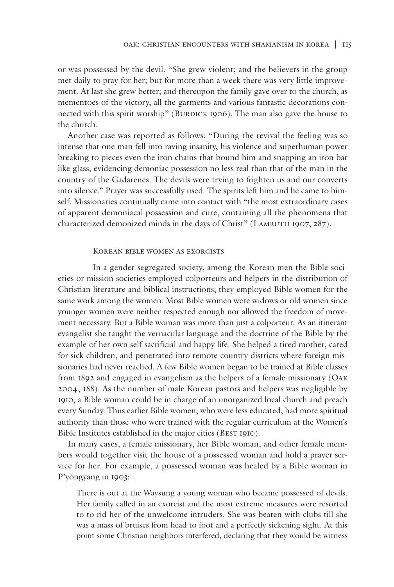or was possessed by the devil. "She grew violent; and the believers in the group met daily to pray for her; but for more than a week there was very little improvement. At last she grew better; and thereupon the family gave over to the church, as mementoes of the victory, all the garments and various fantastic decorations connected with this spirit worship" (BURDICK 1906). The man also gave the house to the church.

Another case was reported as follows: "During the revival the feeling was so intense that one man fell into raving insanity, his violence and superhuman power breaking to pieces even the iron chains that bound him and snapping an iron bar like glass, evidencing demoniac possession no less real than that of the man in the country of the Gadarenes. The devils were trying to frighten us and our converts into silence." Prayer was successfully used. The spirits left him and he came to himself. Missionaries continually came into contact with "the most extraordinary cases of apparent demoniacal possession and cure, containing all the phenomena that characterized demonized minds in the days of Christ" (LAMBUTH 1907, 287).

### Korean bible women as exorcists

In a gender-segregated society, among the Korean men the Bible societies or mission societies employed colporteurs and helpers in the distribution of Christian literature and biblical instructions; they employed Bible women for the same work among the women. Most Bible women were widows or old women since younger women were neither respected enough nor allowed the freedom of movement necessary. But a Bible woman was more than just a colporteur. As an itinerant evangelist she taught the vernacular language and the doctrine of the Bible by the example of her own self-sacrificial and happy life. She helped a tired mother, cared for sick children, and penetrated into remote country districts where foreign missionaries had never reached. A few Bible women began to be trained at Bible classes from 1892 and engaged in evangelism as the helpers of a female missionary (Oak 2004, 188). As the number of male Korean pastors and helpers was negligible by 1910, a Bible woman could be in charge of an unorganized local church and preach every Sunday. Thus earlier Bible women, who were less educated, had more spiritual authority than those who were trained with the regular curriculum at the Women's Bible Institutes established in the major cities (BEST 1910).

In many cases, a female missionary, her Bible woman, and other female members would together visit the house of a possessed woman and hold a prayer service for her. For example, a possessed woman was healed by a Bible woman in P'yŏngyang in 1903:

There is out at the Waysung a young woman who became possessed of devils. Her family called in an exorcist and the most extreme measures were resorted to to rid her of the unwelcome intruders. She was beaten with clubs till she was a mass of bruises from head to foot and a perfectly sickening sight. At this point some Christian neighbors interfered, declaring that they would be witness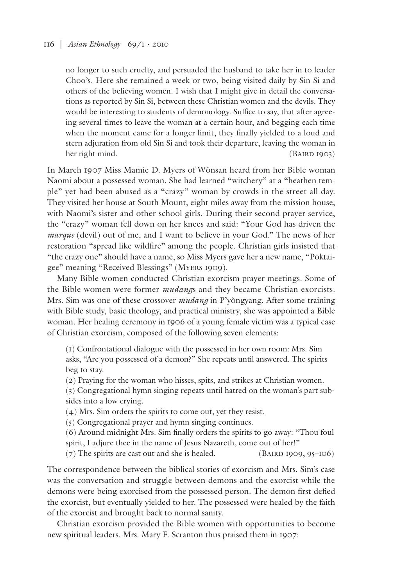no longer to such cruelty, and persuaded the husband to take her in to leader Choo's. Here she remained a week or two, being visited daily by Sin Si and others of the believing women. I wish that I might give in detail the conversations as reported by Sin Si, between these Christian women and the devils. They would be interesting to students of demonology. Suffice to say, that after agreeing several times to leave the woman at a certain hour, and begging each time when the moment came for a longer limit, they finally yielded to a loud and stern adjuration from old Sin Si and took their departure, leaving the woman in her right mind. (BAIRD 1903)

In March 1907 Miss Mamie D. Myers of Wŏnsan heard from her Bible woman Naomi about a possessed woman. She had learned "witchery" at a "heathen temple" yet had been abused as a "crazy" woman by crowds in the street all day. They visited her house at South Mount, eight miles away from the mission house, with Naomi's sister and other school girls. During their second prayer service, the "crazy" woman fell down on her knees and said: "Your God has driven the *marque* (devil) out of me, and I want to believe in your God." The news of her restoration "spread like wildfire" among the people. Christian girls insisted that "the crazy one" should have a name, so Miss Myers gave her a new name, "Poktaigee" meaning "Received Blessings" (Myers 1909).

Many Bible women conducted Christian exorcism prayer meetings. Some of the Bible women were former *mudang*s and they became Christian exorcists. Mrs. Sim was one of these crossover *mudang* in P'yŏngyang. After some training with Bible study, basic theology, and practical ministry, she was appointed a Bible woman. Her healing ceremony in 1906 of a young female victim was a typical case of Christian exorcism, composed of the following seven elements:

(1) Confrontational dialogue with the possessed in her own room: Mrs. Sim asks, "Are you possessed of a demon?" She repeats until answered. The spirits beg to stay.

(2) Praying for the woman who hisses, spits, and strikes at Christian women.

(3) Congregational hymn singing repeats until hatred on the woman's part subsides into a low crying.

(4) Mrs. Sim orders the spirits to come out, yet they resist.

(5) Congregational prayer and hymn singing continues.

(6) Around midnight Mrs. Sim finally orders the spirits to go away: "Thou foul spirit, I adjure thee in the name of Jesus Nazareth, come out of her!"

 $(7)$  The spirits are cast out and she is healed. (BAIRD 1909, 95–106)

The correspondence between the biblical stories of exorcism and Mrs. Sim's case was the conversation and struggle between demons and the exorcist while the demons were being exorcised from the possessed person. The demon first defied the exorcist, but eventually yielded to her. The possessed were healed by the faith of the exorcist and brought back to normal sanity.

Christian exorcism provided the Bible women with opportunities to become new spiritual leaders. Mrs. Mary F. Scranton thus praised them in 1907: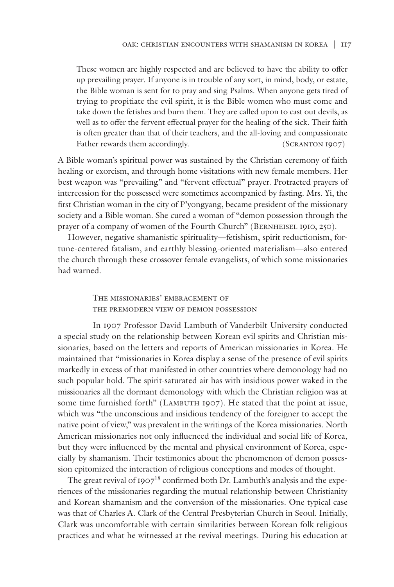These women are highly respected and are believed to have the ability to offer up prevailing prayer. If anyone is in trouble of any sort, in mind, body, or estate, the Bible woman is sent for to pray and sing Psalms. When anyone gets tired of trying to propitiate the evil spirit, it is the Bible women who must come and take down the fetishes and burn them. They are called upon to cast out devils, as well as to offer the fervent effectual prayer for the healing of the sick. Their faith is often greater than that of their teachers, and the all-loving and compassionate Father rewards them accordingly. (SCRANTON 1907)

A Bible woman's spiritual power was sustained by the Christian ceremony of faith healing or exorcism, and through home visitations with new female members. Her best weapon was "prevailing" and "fervent effectual" prayer. Protracted prayers of intercession for the possessed were sometimes accompanied by fasting. Mrs. Yi, the first Christian woman in the city of P'yongyang, became president of the missionary society and a Bible woman. She cured a woman of "demon possession through the prayer of a company of women of the Fourth Church" (BERNHEISEL 1910, 250).

However, negative shamanistic spirituality—fetishism, spirit reductionism, fortune-centered fatalism, and earthly blessing-oriented materialism—also entered the church through these crossover female evangelists, of which some missionaries had warned.

> The missionaries' embracement of the premodern view of demon possession

In 1907 Professor David Lambuth of Vanderbilt University conducted a special study on the relationship between Korean evil spirits and Christian missionaries, based on the letters and reports of American missionaries in Korea. He maintained that "missionaries in Korea display a sense of the presence of evil spirits markedly in excess of that manifested in other countries where demonology had no such popular hold. The spirit-saturated air has with insidious power waked in the missionaries all the dormant demonology with which the Christian religion was at some time furnished forth" (LAMBUTH 1907). He stated that the point at issue, which was "the unconscious and insidious tendency of the foreigner to accept the native point of view," was prevalent in the writings of the Korea missionaries. North American missionaries not only influenced the individual and social life of Korea, but they were influenced by the mental and physical environment of Korea, especially by shamanism. Their testimonies about the phenomenon of demon possession epitomized the interaction of religious conceptions and modes of thought.

The great revival of  $1907^{18}$  confirmed both Dr. Lambuth's analysis and the experiences of the missionaries regarding the mutual relationship between Christianity and Korean shamanism and the conversion of the missionaries. One typical case was that of Charles A. Clark of the Central Presbyterian Church in Seoul. Initially, Clark was uncomfortable with certain similarities between Korean folk religious practices and what he witnessed at the revival meetings. During his education at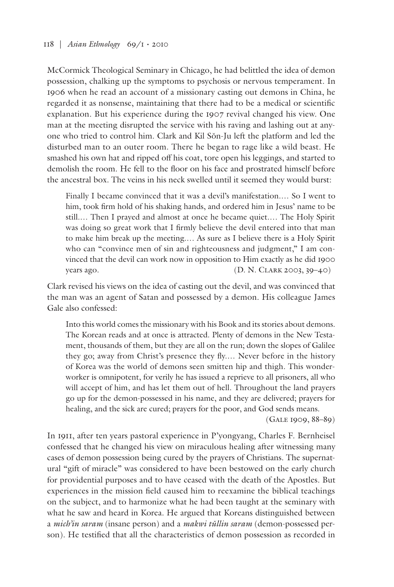McCormick Theological Seminary in Chicago, he had belittled the idea of demon possession, chalking up the symptoms to psychosis or nervous temperament. In 1906 when he read an account of a missionary casting out demons in China, he regarded it as nonsense, maintaining that there had to be a medical or scientific explanation. But his experience during the 1907 revival changed his view. One man at the meeting disrupted the service with his raving and lashing out at anyone who tried to control him. Clark and Kil Sŏn-Ju left the platform and led the disturbed man to an outer room. There he began to rage like a wild beast. He smashed his own hat and ripped off his coat, tore open his leggings, and started to demolish the room. He fell to the floor on his face and prostrated himself before the ancestral box. The veins in his neck swelled until it seemed they would burst:

Finally I became convinced that it was a devil's manifestation.… So I went to him, took firm hold of his shaking hands, and ordered him in Jesus' name to be still.… Then I prayed and almost at once he became quiet.… The Holy Spirit was doing so great work that I firmly believe the devil entered into that man to make him break up the meeting.… As sure as I believe there is a Holy Spirit who can "convince men of sin and righteousness and judgment," I am convinced that the devil can work now in opposition to Him exactly as he did 1900 years ago. (D. N. CLARK 2003, 39–40)

Clark revised his views on the idea of casting out the devil, and was convinced that the man was an agent of Satan and possessed by a demon. His colleague James Gale also confessed:

Into this world comes the missionary with his Book and its stories about demons. The Korean reads and at once is attracted. Plenty of demons in the New Testament, thousands of them, but they are all on the run; down the slopes of Galilee they go; away from Christ's presence they fly.… Never before in the history of Korea was the world of demons seen smitten hip and thigh. This wonderworker is omnipotent, for verily he has issued a reprieve to all prisoners, all who will accept of him, and has let them out of hell. Throughout the land prayers go up for the demon-possessed in his name, and they are delivered; prayers for healing, and the sick are cured; prayers for the poor, and God sends means.

(Gale 1909, 88–89)

In 1911, after ten years pastoral experience in P'yongyang, Charles F. Bernheisel confessed that he changed his view on miraculous healing after witnessing many cases of demon possession being cured by the prayers of Christians. The supernatural "gift of miracle" was considered to have been bestowed on the early church for providential purposes and to have ceased with the death of the Apostles. But experiences in the mission field caused him to reexamine the biblical teachings on the subject, and to harmonize what he had been taught at the seminary with what he saw and heard in Korea. He argued that Koreans distinguished between a *mich'in saram* (insane person) and a *makwi tŭllin saram* (demon-possessed person). He testified that all the characteristics of demon possession as recorded in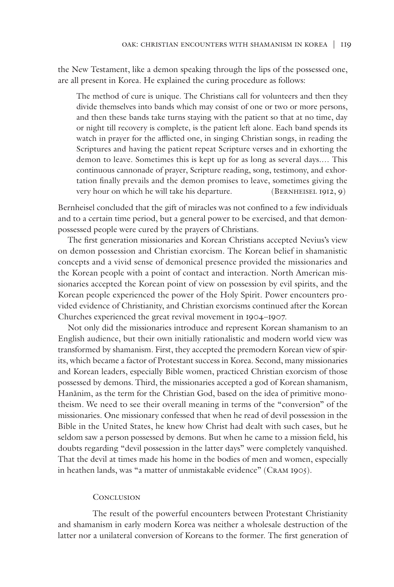the New Testament, like a demon speaking through the lips of the possessed one, are all present in Korea. He explained the curing procedure as follows:

The method of cure is unique. The Christians call for volunteers and then they divide themselves into bands which may consist of one or two or more persons, and then these bands take turns staying with the patient so that at no time, day or night till recovery is complete, is the patient left alone. Each band spends its watch in prayer for the afflicted one, in singing Christian songs, in reading the Scriptures and having the patient repeat Scripture verses and in exhorting the demon to leave. Sometimes this is kept up for as long as several days.… This continuous cannonade of prayer, Scripture reading, song, testimony, and exhortation finally prevails and the demon promises to leave, sometimes giving the very hour on which he will take his departure.  $(BERNHEISEL I9I2, 9)$ 

Bernheisel concluded that the gift of miracles was not confined to a few individuals and to a certain time period, but a general power to be exercised, and that demonpossessed people were cured by the prayers of Christians.

The first generation missionaries and Korean Christians accepted Nevius's view on demon possession and Christian exorcism. The Korean belief in shamanistic concepts and a vivid sense of demonical presence provided the missionaries and the Korean people with a point of contact and interaction. North American missionaries accepted the Korean point of view on possession by evil spirits, and the Korean people experienced the power of the Holy Spirit. Power encounters provided evidence of Christianity, and Christian exorcisms continued after the Korean Churches experienced the great revival movement in 1904–1907.

Not only did the missionaries introduce and represent Korean shamanism to an English audience, but their own initially rationalistic and modern world view was transformed by shamanism. First, they accepted the premodern Korean view of spirits, which became a factor of Protestant success in Korea. Second, many missionaries and Korean leaders, especially Bible women, practiced Christian exorcism of those possessed by demons. Third, the missionaries accepted a god of Korean shamanism, Hanănim, as the term for the Christian God, based on the idea of primitive monotheism. We need to see their overall meaning in terms of the "conversion" of the missionaries. One missionary confessed that when he read of devil possession in the Bible in the United States, he knew how Christ had dealt with such cases, but he seldom saw a person possessed by demons. But when he came to a mission field, his doubts regarding "devil possession in the latter days" were completely vanquished. That the devil at times made his home in the bodies of men and women, especially in heathen lands, was "a matter of unmistakable evidence" (Cram 1905).

# **CONCLUSION**

The result of the powerful encounters between Protestant Christianity and shamanism in early modern Korea was neither a wholesale destruction of the latter nor a unilateral conversion of Koreans to the former. The first generation of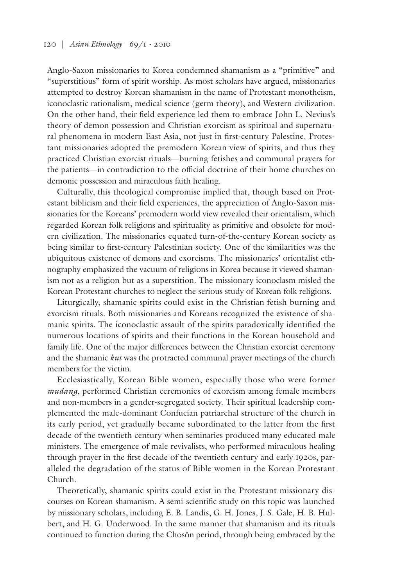Anglo-Saxon missionaries to Korea condemned shamanism as a "primitive" and "superstitious" form of spirit worship. As most scholars have argued, missionaries attempted to destroy Korean shamanism in the name of Protestant monotheism, iconoclastic rationalism, medical science (germ theory), and Western civilization. On the other hand, their field experience led them to embrace John L. Nevius's theory of demon possession and Christian exorcism as spiritual and supernatural phenomena in modern East Asia, not just in first-century Palestine. Protestant missionaries adopted the premodern Korean view of spirits, and thus they practiced Christian exorcist rituals—burning fetishes and communal prayers for the patients—in contradiction to the official doctrine of their home churches on demonic possession and miraculous faith healing.

Culturally, this theological compromise implied that, though based on Protestant biblicism and their field experiences, the appreciation of Anglo-Saxon missionaries for the Koreans' premodern world view revealed their orientalism, which regarded Korean folk religions and spirituality as primitive and obsolete for modern civilization. The missionaries equated turn-of-the-century Korean society as being similar to first-century Palestinian society. One of the similarities was the ubiquitous existence of demons and exorcisms. The missionaries' orientalist ethnography emphasized the vacuum of religions in Korea because it viewed shamanism not as a religion but as a superstition. The missionary iconoclasm misled the Korean Protestant churches to neglect the serious study of Korean folk religions.

Liturgically, shamanic spirits could exist in the Christian fetish burning and exorcism rituals. Both missionaries and Koreans recognized the existence of shamanic spirits. The iconoclastic assault of the spirits paradoxically identified the numerous locations of spirits and their functions in the Korean household and family life. One of the major differences between the Christian exorcist ceremony and the shamanic *kut* was the protracted communal prayer meetings of the church members for the victim.

Ecclesiastically, Korean Bible women, especially those who were former *mudang*, performed Christian ceremonies of exorcism among female members and non-members in a gender-segregated society. Their spiritual leadership complemented the male-dominant Confucian patriarchal structure of the church in its early period, yet gradually became subordinated to the latter from the first decade of the twentieth century when seminaries produced many educated male ministers. The emergence of male revivalists, who performed miraculous healing through prayer in the first decade of the twentieth century and early 1920s, paralleled the degradation of the status of Bible women in the Korean Protestant Church.

Theoretically, shamanic spirits could exist in the Protestant missionary discourses on Korean shamanism. A semi-scientific study on this topic was launched by missionary scholars, including E. B. Landis, G. H. Jones, J. S. Gale, H. B. Hulbert, and H. G. Underwood. In the same manner that shamanism and its rituals continued to function during the Chosŏn period, through being embraced by the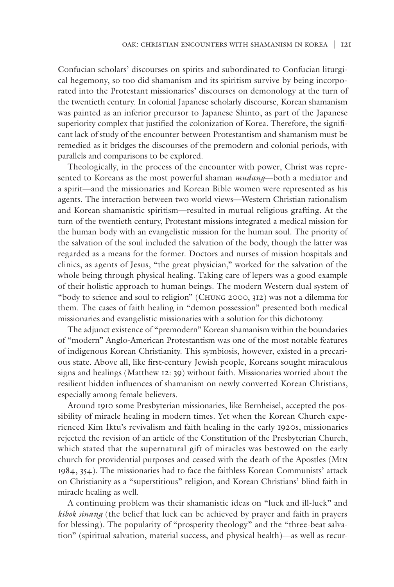Confucian scholars' discourses on spirits and subordinated to Confucian liturgical hegemony, so too did shamanism and its spiritism survive by being incorporated into the Protestant missionaries' discourses on demonology at the turn of the twentieth century. In colonial Japanese scholarly discourse, Korean shamanism was painted as an inferior precursor to Japanese Shinto, as part of the Japanese superiority complex that justified the colonization of Korea. Therefore, the significant lack of study of the encounter between Protestantism and shamanism must be remedied as it bridges the discourses of the premodern and colonial periods, with parallels and comparisons to be explored.

Theologically, in the process of the encounter with power, Christ was represented to Koreans as the most powerful shaman *mudang*—both a mediator and a spirit—and the missionaries and Korean Bible women were represented as his agents. The interaction between two world views—Western Christian rationalism and Korean shamanistic spiritism—resulted in mutual religious grafting. At the turn of the twentieth century, Protestant missions integrated a medical mission for the human body with an evangelistic mission for the human soul. The priority of the salvation of the soul included the salvation of the body, though the latter was regarded as a means for the former. Doctors and nurses of mission hospitals and clinics, as agents of Jesus, "the great physician," worked for the salvation of the whole being through physical healing. Taking care of lepers was a good example of their holistic approach to human beings. The modern Western dual system of "body to science and soul to religion" (Chung 2000, 312) was not a dilemma for them. The cases of faith healing in "demon possession" presented both medical missionaries and evangelistic missionaries with a solution for this dichotomy.

The adjunct existence of "premodern" Korean shamanism within the boundaries of "modern" Anglo-American Protestantism was one of the most notable features of indigenous Korean Christianity. This symbiosis, however, existed in a precarious state. Above all, like first-century Jewish people, Koreans sought miraculous signs and healings (Matthew 12: 39) without faith. Missionaries worried about the resilient hidden influences of shamanism on newly converted Korean Christians, especially among female believers.

Around 1910 some Presbyterian missionaries, like Bernheisel, accepted the possibility of miracle healing in modern times. Yet when the Korean Church experienced Kim Iktu's revivalism and faith healing in the early 1920s, missionaries rejected the revision of an article of the Constitution of the Presbyterian Church, which stated that the supernatural gift of miracles was bestowed on the early church for providential purposes and ceased with the death of the Apostles (Min 1984, 354). The missionaries had to face the faithless Korean Communists' attack on Christianity as a "superstitious" religion, and Korean Christians' blind faith in miracle healing as well.

A continuing problem was their shamanistic ideas on "luck and ill-luck" and *kibok sinang* (the belief that luck can be achieved by prayer and faith in prayers for blessing). The popularity of "prosperity theology" and the "three-beat salvation" (spiritual salvation, material success, and physical health)—as well as recur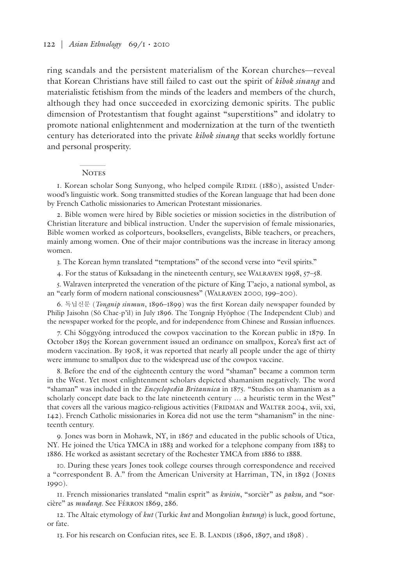ring scandals and the persistent materialism of the Korean churches—reveal that Korean Christians have still failed to cast out the spirit of *kibok sinang* and materialistic fetishism from the minds of the leaders and members of the church, although they had once succeeded in exorcizing demonic spirits. The public dimension of Protestantism that fought against "superstitions" and idolatry to promote national enlightenment and modernization at the turn of the twentieth century has deteriorated into the private *kibok sinang* that seeks worldly fortune and personal prosperity.

#### **NOTES**

1. Korean scholar Song Sunyong, who helped compile RIDEL (1880), assisted Underwood's linguistic work. Song transmitted studies of the Korean language that had been done by French Catholic missionaries to American Protestant missionaries.

2. Bible women were hired by Bible societies or mission societies in the distribution of Christian literature and biblical instruction. Under the supervision of female missionaries, Bible women worked as colporteurs, booksellers, evangelists, Bible teachers, or preachers, mainly among women. One of their major contributions was the increase in literacy among women.

3. The Korean hymn translated "temptations" of the second verse into "evil spirits."

4. For the status of Kuksadang in the nineteenth century, see Walraven 1998, 57–58.

5. Walraven interpreted the veneration of the picture of King T'aejo, a national symbol, as an "early form of modern national consciousness" (Walraven 2000, 199–200).

6. 독닙신문 (*Tongnip sinmun*, 1896–1899) was the first Korean daily newspaper founded by Philip Jaisohn (Sŏ Chae-p'il) in July 1896. The Tongnip Hyŏphoe (The Independent Club) and the newspaper worked for the people, and for independence from Chinese and Russian influences.

7. Chi Sŏggyŏng introduced the cowpox vaccination to the Korean public in 1879. In October 1895 the Korean government issued an ordinance on smallpox, Korea's first act of modern vaccination. By 1908, it was reported that nearly all people under the age of thirty were immune to smallpox due to the widespread use of the cowpox vaccine.

8. Before the end of the eighteenth century the word "shaman" became a common term in the West. Yet most enlightenment scholars depicted shamanism negatively. The word "shaman" was included in the *Encyclopedia Britannica* in 1875. "Studies on shamanism as a scholarly concept date back to the late nineteenth century ... a heuristic term in the West" that covers all the various magico-religious activities (FRIDMAN and WALTER 2004, xvii, xxi, 142). French Catholic missionaries in Korea did not use the term "shamanism" in the nineteenth century.

9. Jones was born in Mohawk, NY, in 1867 and educated in the public schools of Utica, NY. He joined the Utica YMCA in 1883 and worked for a telephone company from 1883 to 1886. He worked as assistant secretary of the Rochester YMCA from 1886 to 1888.

10. During these years Jones took college courses through correspondence and received a "correspondent B. A." from the American University at Harriman, TN, in 1892 (Jones 1990).

11. French missionaries translated "malin esprit" as *kwisin*, "sorcièr" as *paksu,* and "sorcière" as *mudang*. See Férron 1869, 286.

12. The Altaic etymology of *kut* (Turkic *kut* and Mongolian *kutung*) is luck, good fortune, or fate.

13. For his research on Confucian rites, see E. B. LANDIS (1896, 1897, and 1898).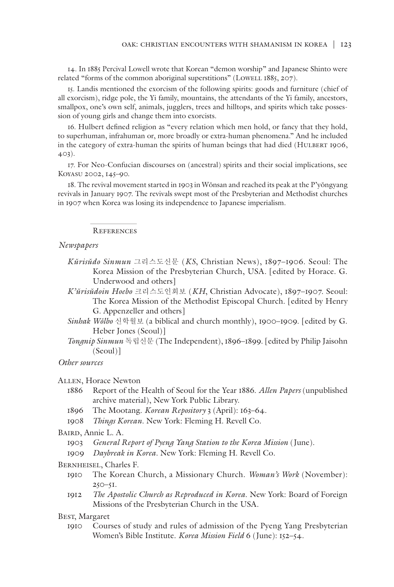14. In 1885 Percival Lowell wrote that Korean "demon worship" and Japanese Shinto were related "forms of the common aboriginal superstitions" (LOWELL 1885, 207).

15. Landis mentioned the exorcism of the following spirits: goods and furniture (chief of all exorcism), ridge pole, the Yi family, mountains, the attendants of the Yi family, ancestors, smallpox, one's own self, animals, jugglers, trees and hilltops, and spirits which take possession of young girls and change them into exorcists.

16. Hulbert defined religion as "every relation which men hold, or fancy that they hold, to superhuman, infrahuman or, more broadly or extra-human phenomena." And he included in the category of extra-human the spirits of human beings that had died (HULBERT 1906, 403).

17. For Neo-Confucian discourses on (ancestral) spirits and their social implications, see Koyasu 2002, 145–90.

18. The revival movement started in 1903 in Wŏnsan and reached its peak at the P'yŏngyang revivals in January 1907. The revivals swept most of the Presbyterian and Methodist churches in 1907 when Korea was losing its independence to Japanese imperialism.

#### **REFERENCES**

# *Newspapers*

- *Kŭrisŭdo Sinmun* 그리스도신문 (*KS*, Christian News), 1897–1906. Seoul: The Korea Mission of the Presbyterian Church, USA. [edited by Horace. G. Underwood and others]
- *K'ŭrisŭdoin Hoebo* 크리스도인회보 (*KH*, Christian Advocate), 1897–1907. Seoul: The Korea Mission of the Methodist Episcopal Church. [edited by Henry G. Appenzeller and others]
- *Sinhak Wŏlbo* 신학월보 (a biblical and church monthly), 1900–1909. [edited by G. Heber Jones (Seoul)]
- *Tongnip Sinmun* 독립신문 (The Independent), 1896–1899. [edited by Philip Jaisohn (Seoul)]

#### *Other sources*

# Allen, Horace Newton

- 1886 Report of the Health of Seoul for the Year 1886. *Allen Papers* (unpublished archive material), New York Public Library.
- 1896 The Mootang. *Korean Repository* 3 (April): 163–64.
- 1908 *Things Korean*. New York: Fleming H. Revell Co.

# Baird, Annie L. A.

- 1903 *General Report of Pyeng Yang Station to the Korea Mission* (June).
- 1909 *Daybreak in Korea*. New York: Fleming H. Revell Co.

## Bernheisel, Charles F.

- 1910 The Korean Church, a Missionary Church. *Woman's Work* (November): 250–51.
- 1912 *The Apostolic Church as Reproduced in Korea*. New York: Board of Foreign Missions of the Presbyterian Church in the USA.

#### Best, Margaret

1910 Courses of study and rules of admission of the Pyeng Yang Presbyterian Women's Bible Institute. *Korea Mission Field* 6 (June): 152–54.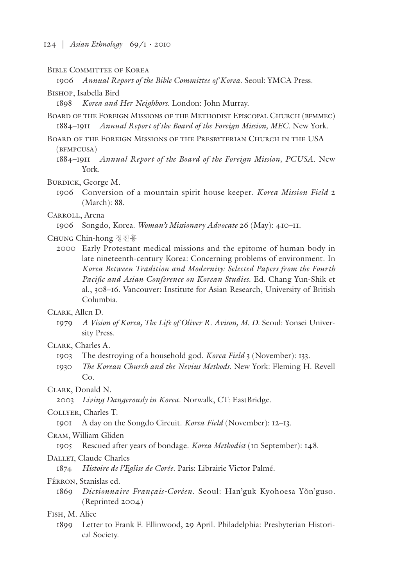#### Bible Committee of Korea

1906 *Annual Report of the Bible Committee of Korea*. Seoul: YMCA Press.

# Bishop, Isabella Bird

1898 *Korea and Her Neighbors*. London: John Murray.

Board of the Foreign Missions of the Methodist Episcopal Church (BFMMEC) 1884–1911 *Annual Report of the Board of the Foreign Mission, MEC*. New York.

Board of the Foreign Missions of the Presbyterian Church in the USA (BFMPCUSA)

- 1884–1911 *Annual Report of the Board of the Foreign Mission, PCUSA*. New York.
- Burdick, George M.
	- 1906 Conversion of a mountain spirit house keeper. *Korea Mission Field* 2 (March): 88.

# Carroll, Arena

1906 Songdo, Korea. *Woman's Missionary Advocate* 26 (May): 410–11.

# Chung Chin-hong 정진홍

2000 Early Protestant medical missions and the epitome of human body in late nineteenth-century Korea: Concerning problems of environment. In *Korea Between Tradition and Modernity: Selected Papers from the Fourth Pacific and Asian Conference on Korean Studies*. Ed. Chang Yun-Shik et al., 308–16. Vancouver: Institute for Asian Research, University of British Columbia.

# Clark, Allen D.

1979 *A Vision of Korea, The Life of Oliver R. Avison, M. D.* Seoul: Yonsei University Press.

#### Clark, Charles A.

- 1903 The destroying of a household god. *Korea Field* 3 (November): 133.
- 1930 *The Korean Church and the Nevius Methods*. New York: Fleming H. Revell Co.

# Clark, Donald N.

2003 *Living Dangerously in Korea*. Norwalk, CT: EastBridge.

#### Collyer, Charles T.

1901 A day on the Songdo Circuit. *Korea Field* (November): 12–13.

# Cram, William Gliden

1905 Rescued after years of bondage. *Korea Methodist* (10 September): 148.

# DALLET, Claude Charles

1874 *Histoire de l'Eglise de Corée*. Paris: Librairie Victor Palmé.

#### Férron, Stanislas ed.

1869 *Dictionnaire Français-Coréen*. Seoul: Han'guk Kyohoesa Yŏn'guso. (Reprinted 2004)

#### Fish, M. Alice

1899 Letter to Frank F. Ellinwood, 29 April. Philadelphia: Presbyterian Historical Society.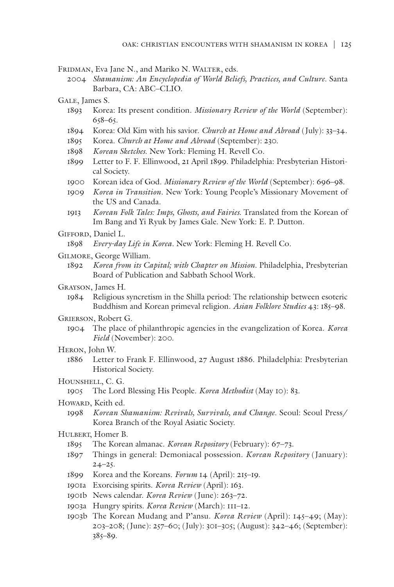FRIDMAN, Eva Jane N., and Mariko N. WALTER, eds.

- 2004 *Shamanism: An Encyclopedia of World Beliefs, Practices, and Culture*. Santa Barbara, CA: ABC–CLIO.
- GALE, James S.
	- 1893 Korea: Its present condition. *Missionary Review of the World* (September):  $658-65.$
	- 1894 Korea: Old Kim with his savior. *Church at Home and Abroad* (July): 33–34.
	- 1895 Korea. *Church at Home and Abroad* (September): 230.
	- 1898 *Korean Sketches*. New York: Fleming H. Revell Co.
	- 1899 Letter to F. F. Ellinwood, 21 April 1899. Philadelphia: Presbyterian Historical Society.
	- 1900 Korean idea of God. *Missionary Review of the World* (September): 696–98.
	- 1909 *Korea in Transition*. New York: Young People's Missionary Movement of the US and Canada.
	- 1913 *Korean Folk Tales: Imps, Ghosts, and Fairies.* Translated from the Korean of Im Bang and Yi Ryuk by James Gale. New York: E. P. Dutton.
- Gifford, Daniel L.
	- 1898 *Every-day Life in Korea*. New York: Fleming H. Revell Co.
- Gilmore, George William.
	- 1892 *Korea from its Capital; with Chapter on Mission.* Philadelphia, Presbyterian Board of Publication and Sabbath School Work.
- Grayson, James H.
	- 1984 Religious syncretism in the Shilla period: The relationship between esoteric Buddhism and Korean primeval religion. *Asian Folklore Studies* 43: 185–98.
- Grierson, Robert G.
	- 1904 The place of philanthropic agencies in the evangelization of Korea. *Korea Field* (November): 200.
- Heron, John W.
	- 1886 Letter to Frank F. Ellinwood, 27 August 1886. Philadelphia: Presbyterian Historical Society.
- Hounshell, C. G.
	- 1905 The Lord Blessing His People. *Korea Methodist* (May 10): 83.
- HOWARD, Keith ed.
	- 1998 *Korean Shamanism: Revivals, Survivals, and Change*. Seoul: Seoul Press/ Korea Branch of the Royal Asiatic Society.
- Hulbert, Homer B.
	- 1895 The Korean almanac. *Korean Repository* (February): 67–73.
	- 1897 Things in general: Demoniacal possession. *Korean Repository* (January):  $24 - 25$ .
	- 1899 Korea and the Koreans. *Forum* 14 (April): 215–19.
	- 1901a Exorcising spirits. *Korea Review* (April): 163.
	- 1901b News calendar. *Korea Review* (June): 263–72.
	- 1903a Hungry spirits. *Korea Review* (March): 111–12.
	- 1903b The Korean Mudang and P'ansu. *Korea Review* (April): 145–49; (May): 203–208; (June): 257–60; (July): 301–305; (August): 342–46; (September): 385–89.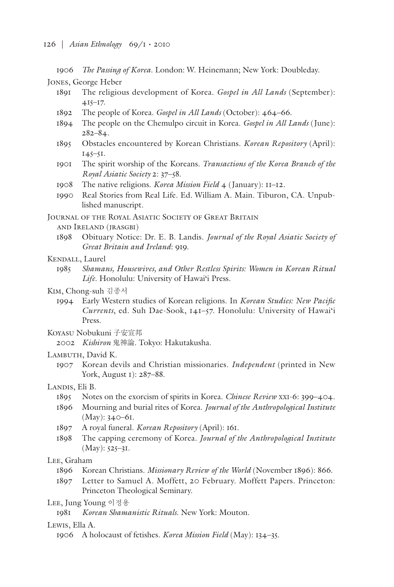1906 *The Passing of Korea*. London: W. Heinemann; New York: Doubleday.

Jones, George Heber

- 1891 The religious development of Korea. *Gospel in All Lands* (September): 415–17.
- 1892 The people of Korea. *Gospel in All Lands* (October): 464–66.
- 1894 The people on the Chemulpo circuit in Korea. *Gospel in All Lands* (June): 282–84.
- 1895 Obstacles encountered by Korean Christians. *Korean Repository* (April): 145–51.
- 1901 The spirit worship of the Koreans. *Transactions of the Korea Branch of the Royal Asiatic Society* 2: 37–58.
- 1908 The native religions. *Korea Mission Field* 4 (January): 11–12.
- 1990 Real Stories from Real Life. Ed. William A. Main. Tiburon, CA. Unpublished manuscript.

Journal of the Royal Asiatic Society of Great Britain

and Ireland (JRASGBI)

1898 Obituary Notice: Dr. E. B. Landis. *Journal of the Royal Asiatic Society of Great Britain and Ireland*: 919.

# Kendall, Laurel

- 1985 *Shamans, Housewives, and Other Restless Spirits: Women in Korean Ritual Life*. Honolulu: University of Hawai'i Press.
- Kim, Chong-suh 김종서
	- 1994 Early Western studies of Korean religions. In *Korean Studies: New Pacific Currents*, ed. Suh Dae-Sook, 141–57. Honolulu: University of Hawai'i Press.
- Koyasu Nobukuni 子安宣邦
	- 2002 *Kishiron* 鬼神論. Tokyo: Hakutakusha.

# LAMBUTH, David K.

1907 Korean devils and Christian missionaries. *Independent* (printed in New York, August 1): 287-88.

# Landis, Eli B.

- 1895 Notes on the exorcism of spirits in Korea. *Chinese Review* XXI-6: 399–404.
- 1896 Mourning and burial rites of Korea. *Journal of the Anthropological Institute* (May): 340–61.
- 1897 A royal funeral. *Korean Repository* (April): 161.
- 1898 The capping ceremony of Korea. *Journal of the Anthropological Institute*  $(May): 525-31.$

# Lee, Graham

- 1896 Korean Christians. *Missionary Review of the World* (November 1896): 866.
- 1897 Letter to Samuel A. Moffett, 20 February. Moffett Papers. Princeton: Princeton Theological Seminary.
- Lee, Jung Young 이정용
	- 1981 *Korean Shamanistic Rituals*. New York: Mouton.

# Lewis, Ella A.

1906 A holocaust of fetishes. *Korea Mission Field* (May): 134–35.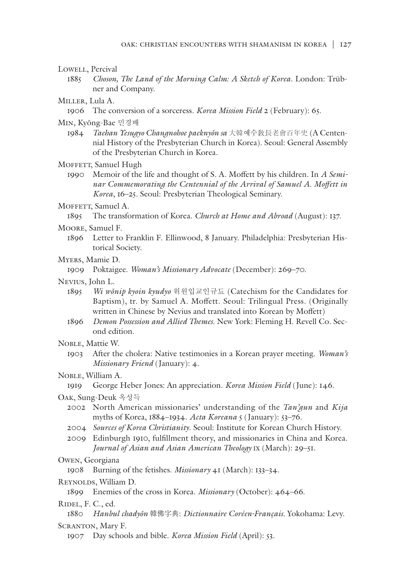- 1885 *Choson, The Land of the Morning Calm: A Sketch of Korea*. London: Trübner and Company.
- Miller, Lula A.
	- 1906 The conversion of a sorceress. *Korea Mission Field* 2 (February): 65.
- Min, Kyŏng-Bae 민경배
	- 1984 *Taehan Yesugyo Changnohoe paeknyŏn sa* 大韓예수敎長老會百年史 (A Centennial History of the Presbyterian Church in Korea). Seoul: General Assembly of the Presbyterian Church in Korea.
- MOFFETT, Samuel Hugh
	- 1990 Memoir of the life and thought of S. A. Moffett by his children. In *A Seminar Commemorating the Centennial of the Arrival of Samuel A. Moffett in Korea*, 16–25*.* Seoul: Presbyterian Theological Seminary.
- MOFFETT, Samuel A.
	- 1895 The transformation of Korea. *Church at Home and Abroad* (August): 137.
- Moore, Samuel F.
	- 1896 Letter to Franklin F. Ellinwood, 8 January. Philadelphia: Presbyterian Historical Society.
- Myers, Mamie D.
	- 1909 Poktaigee. *Woman's Missionary Advocate* (December): 269–70.
- Nevius, John L.
	- 1895 *Wi wŏnip kyoin kyudyo* 위원입교인규됴 (Catechism for the Candidates for Baptism), tr. by Samuel A. Moffett. Seoul: Trilingual Press. (Originally written in Chinese by Nevius and translated into Korean by Moffett)
	- 1896 *Demon Possession and Allied Themes*. New York: Fleming H. Revell Co. Second edition.

- 1903 After the cholera: Native testimonies in a Korean prayer meeting. *Woman's Missionary Friend* (January): 4.
- Noble, William A.

1919 George Heber Jones: An appreciation. *Korea Mission Field* (June): 146.

- Oak, Sung-Deuk 옥성득
	- 2002 North American missionaries' understanding of the *Tan'gun* and *Kija* myths of Korea, 1884–1934. *Acta Koreana* 5 (January): 53–76.
	- 2004 *Sources of Korea Christianity*. Seoul: Institute for Korean Church History.
	- 2009 Edinburgh 1910, fulfillment theory, and missionaries in China and Korea. *Journal of Asian and Asian American Theology* IX (March): 29–51.
- Owen, Georgiana
	- 1908 Burning of the fetishes. *Missionary* 41 (March): 133–34.
- REYNOLDS, William D.
	- 1899 Enemies of the cross in Korea. *Missionary* (October): 464–66.
- RIDEL, F. C., ed.
- 1880 *Hanbul chadyŏn* 韓佛字典: *Dictionnaire Coréen-Français*. Yokohama: Levy. Scranton, Mary F.
	- 1907 Day schools and bible. *Korea Mission Field* (April): 53.

Noble, Mattie W.